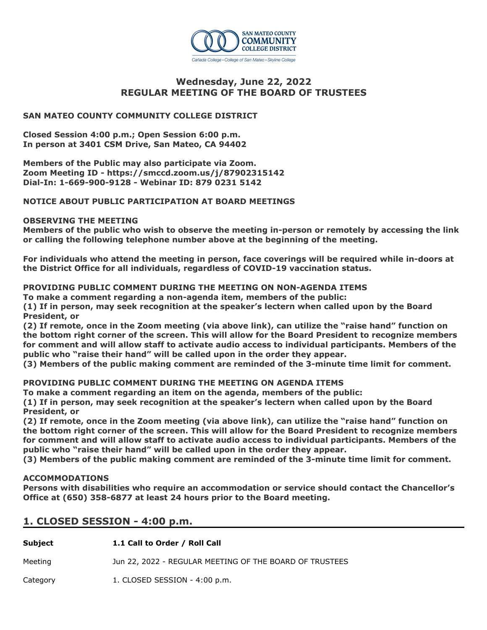

# **Wednesday, June 22, 2022 REGULAR MEETING OF THE BOARD OF TRUSTEES**

# **SAN MATEO COUNTY COMMUNITY COLLEGE DISTRICT**

**Closed Session 4:00 p.m.; Open Session 6:00 p.m. In person at 3401 CSM Drive, San Mateo, CA 94402**

**Members of the Public may also participate via Zoom. Zoom Meeting ID - https://smccd.zoom.us/j/87902315142 Dial-In: 1-669-900-9128 - Webinar ID: 879 0231 5142**

# **NOTICE ABOUT PUBLIC PARTICIPATION AT BOARD MEETINGS**

## **OBSERVING THE MEETING**

**Members of the public who wish to observe the meeting in-person or remotely by accessing the link or calling the following telephone number above at the beginning of the meeting.**

**For individuals who attend the meeting in person, face coverings will be required while in-doors at the District Office for all individuals, regardless of COVID-19 vaccination status.**

# **PROVIDING PUBLIC COMMENT DURING THE MEETING ON NON-AGENDA ITEMS**

**To make a comment regarding a non-agenda item, members of the public:** 

**(1) If in person, may seek recognition at the speaker's lectern when called upon by the Board President, or** 

**(2) If remote, once in the Zoom meeting (via above link), can utilize the "raise hand" function on the bottom right corner of the screen. This will allow for the Board President to recognize members for comment and will allow staff to activate audio access to individual participants. Members of the public who "raise their hand" will be called upon in the order they appear.** 

**(3) Members of the public making comment are reminded of the 3-minute time limit for comment.**

# **PROVIDING PUBLIC COMMENT DURING THE MEETING ON AGENDA ITEMS**

**To make a comment regarding an item on the agenda, members of the public:** 

**(1) If in person, may seek recognition at the speaker's lectern when called upon by the Board President, or** 

**(2) If remote, once in the Zoom meeting (via above link), can utilize the "raise hand" function on the bottom right corner of the screen. This will allow for the Board President to recognize members for comment and will allow staff to activate audio access to individual participants. Members of the public who "raise their hand" will be called upon in the order they appear.** 

**(3) Members of the public making comment are reminded of the 3-minute time limit for comment.**

## **ACCOMMODATIONS**

**Persons with disabilities who require an accommodation or service should contact the Chancellor's Office at (650) 358-6877 at least 24 hours prior to the Board meeting.**

# **1. CLOSED SESSION - 4:00 p.m.**

| Subject  | 1.1 Call to Order / Roll Call                           |
|----------|---------------------------------------------------------|
| Meeting  | Jun 22, 2022 - REGULAR MEETING OF THE BOARD OF TRUSTEES |
| Category | 1. CLOSED SESSION - 4:00 p.m.                           |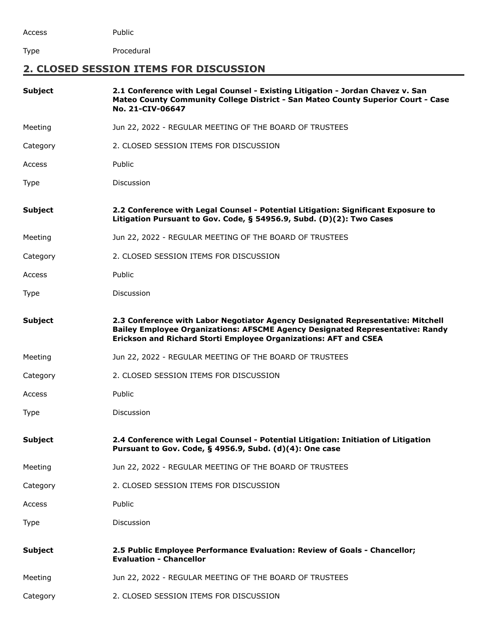Access Public

Type Procedural

# **2. CLOSED SESSION ITEMS FOR DISCUSSION**

| <b>Subject</b> | 2.1 Conference with Legal Counsel - Existing Litigation - Jordan Chavez v. San<br>Mateo County Community College District - San Mateo County Superior Court - Case<br>No. 21-CIV-06647                                               |
|----------------|--------------------------------------------------------------------------------------------------------------------------------------------------------------------------------------------------------------------------------------|
| Meeting        | Jun 22, 2022 - REGULAR MEETING OF THE BOARD OF TRUSTEES                                                                                                                                                                              |
| Category       | 2. CLOSED SESSION ITEMS FOR DISCUSSION                                                                                                                                                                                               |
| Access         | Public                                                                                                                                                                                                                               |
| <b>Type</b>    | <b>Discussion</b>                                                                                                                                                                                                                    |
| <b>Subject</b> | 2.2 Conference with Legal Counsel - Potential Litigation: Significant Exposure to<br>Litigation Pursuant to Gov. Code, § 54956.9, Subd. (D)(2): Two Cases                                                                            |
| Meeting        | Jun 22, 2022 - REGULAR MEETING OF THE BOARD OF TRUSTEES                                                                                                                                                                              |
| Category       | 2. CLOSED SESSION ITEMS FOR DISCUSSION                                                                                                                                                                                               |
| Access         | Public                                                                                                                                                                                                                               |
| <b>Type</b>    | Discussion                                                                                                                                                                                                                           |
| <b>Subject</b> | 2.3 Conference with Labor Negotiator Agency Designated Representative: Mitchell<br>Bailey Employee Organizations: AFSCME Agency Designated Representative: Randy<br>Erickson and Richard Storti Employee Organizations: AFT and CSEA |
| Meeting        | Jun 22, 2022 - REGULAR MEETING OF THE BOARD OF TRUSTEES                                                                                                                                                                              |
| Category       | 2. CLOSED SESSION ITEMS FOR DISCUSSION                                                                                                                                                                                               |
| Access         | Public                                                                                                                                                                                                                               |
| Type           | Discussion                                                                                                                                                                                                                           |
| <b>Subject</b> | 2.4 Conference with Legal Counsel - Potential Litigation: Initiation of Litigation<br>Pursuant to Gov. Code, § 4956.9, Subd. (d)(4): One case                                                                                        |
| Meeting        | Jun 22, 2022 - REGULAR MEETING OF THE BOARD OF TRUSTEES                                                                                                                                                                              |
| Category       | 2. CLOSED SESSION ITEMS FOR DISCUSSION                                                                                                                                                                                               |
| Access         | Public                                                                                                                                                                                                                               |
| <b>Type</b>    | Discussion                                                                                                                                                                                                                           |
| <b>Subject</b> | 2.5 Public Employee Performance Evaluation: Review of Goals - Chancellor;<br><b>Evaluation - Chancellor</b>                                                                                                                          |
| Meeting        | Jun 22, 2022 - REGULAR MEETING OF THE BOARD OF TRUSTEES                                                                                                                                                                              |
| Category       | 2. CLOSED SESSION ITEMS FOR DISCUSSION                                                                                                                                                                                               |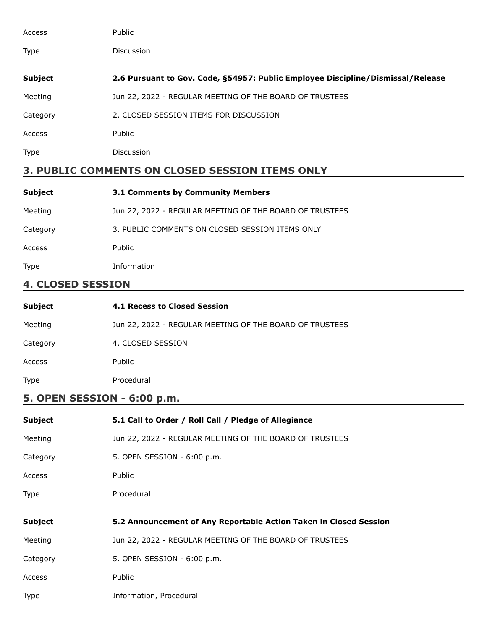| Access                                      | Public                                                                          |
|---------------------------------------------|---------------------------------------------------------------------------------|
| Type                                        | <b>Discussion</b>                                                               |
| <b>Subject</b>                              | 2.6 Pursuant to Gov. Code, §54957: Public Employee Discipline/Dismissal/Release |
| Meeting                                     | Jun 22, 2022 - REGULAR MEETING OF THE BOARD OF TRUSTEES                         |
| Category                                    | 2. CLOSED SESSION ITEMS FOR DISCUSSION                                          |
| Access                                      | Public                                                                          |
| <b>Type</b>                                 | <b>Discussion</b>                                                               |
| AALILIFUTA ALL ALAAFB AFAATALI TTFLIA ALILV |                                                                                 |

# **3. PUBLIC COMMENTS ON CLOSED SESSION ITEMS ONLY**

| <b>Subject</b> | 3.1 Comments by Community Members                       |
|----------------|---------------------------------------------------------|
| Meeting        | Jun 22, 2022 - REGULAR MEETING OF THE BOARD OF TRUSTEES |
| Category       | 3. PUBLIC COMMENTS ON CLOSED SESSION ITEMS ONLY         |
| Access         | Public                                                  |
| <b>Type</b>    | Information                                             |

# **4. CLOSED SESSION**

| Subject     | 4.1 Recess to Closed Session                            |
|-------------|---------------------------------------------------------|
| Meeting     | Jun 22, 2022 - REGULAR MEETING OF THE BOARD OF TRUSTEES |
| Category    | 4. CLOSED SESSION                                       |
| Access      | Public                                                  |
| <b>Type</b> | Procedural                                              |

# **5. OPEN SESSION - 6:00 p.m.**

| <b>Subject</b> | 5.1 Call to Order / Roll Call / Pledge of Allegiance              |
|----------------|-------------------------------------------------------------------|
| Meeting        | Jun 22, 2022 - REGULAR MEETING OF THE BOARD OF TRUSTEES           |
| Category       | 5. OPEN SESSION - 6:00 p.m.                                       |
| Access         | Public                                                            |
| Type           | Procedural                                                        |
|                |                                                                   |
|                |                                                                   |
| <b>Subject</b> | 5.2 Announcement of Any Reportable Action Taken in Closed Session |
| Meeting        | Jun 22, 2022 - REGULAR MEETING OF THE BOARD OF TRUSTEES           |
| Category       | 5. OPEN SESSION - 6:00 p.m.                                       |
| Access         | Public                                                            |
| Type           | Information, Procedural                                           |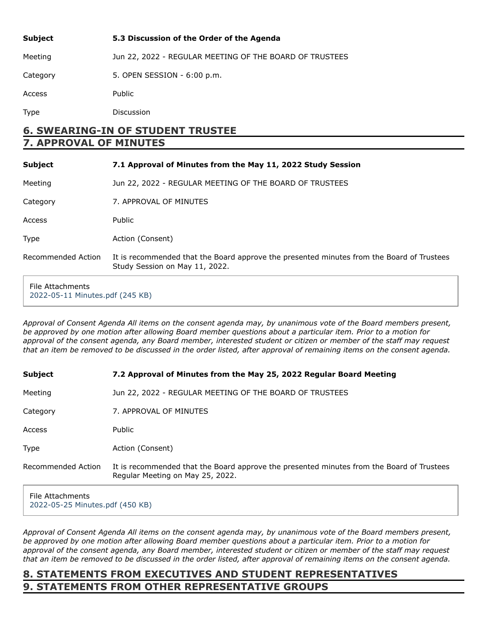| <b>Subject</b> | 5.3 Discussion of the Order of the Agenda               |
|----------------|---------------------------------------------------------|
| Meeting        | Jun 22, 2022 - REGULAR MEETING OF THE BOARD OF TRUSTEES |
| Category       | 5. OPEN SESSION - 6:00 p.m.                             |
| Access         | <b>Public</b>                                           |
| Type           | Discussion                                              |

# **6. SWEARING-IN OF STUDENT TRUSTEE 7. APPROVAL OF MINUTES**

| <b>Subject</b>     | 7.1 Approval of Minutes from the May 11, 2022 Study Session                                                                 |
|--------------------|-----------------------------------------------------------------------------------------------------------------------------|
| Meeting            | Jun 22, 2022 - REGULAR MEETING OF THE BOARD OF TRUSTEES                                                                     |
| Category           | 7. APPROVAL OF MINUTES                                                                                                      |
| Access             | <b>Public</b>                                                                                                               |
| Type               | Action (Consent)                                                                                                            |
| Recommended Action | It is recommended that the Board approve the presented minutes from the Board of Trustees<br>Study Session on May 11, 2022. |
| File Attachments   |                                                                                                                             |

[2022-05-11 Minutes.pdf \(245 KB\)](https://go.boarddocs.com/ca/smccd/Board.nsf/files/CFFQS36996A4/$file/2022-05-11%20Minutes.pdf)

*Approval of Consent Agenda All items on the consent agenda may, by unanimous vote of the Board members present, be approved by one motion after allowing Board member questions about a particular item. Prior to a motion for approval of the consent agenda, any Board member, interested student or citizen or member of the staff may request that an item be removed to be discussed in the order listed, after approval of remaining items on the consent agenda.*

| Subject            | 7.2 Approval of Minutes from the May 25, 2022 Regular Board Meeting                                                           |
|--------------------|-------------------------------------------------------------------------------------------------------------------------------|
| Meeting            | Jun 22, 2022 - REGULAR MEETING OF THE BOARD OF TRUSTEES                                                                       |
| Category           | 7. APPROVAL OF MINUTES                                                                                                        |
| Access             | Public                                                                                                                        |
| <b>Type</b>        | Action (Consent)                                                                                                              |
| Recommended Action | It is recommended that the Board approve the presented minutes from the Board of Trustees<br>Regular Meeting on May 25, 2022. |
| File Attachments   |                                                                                                                               |

[2022-05-25 Minutes.pdf \(450 KB\)](https://go.boarddocs.com/ca/smccd/Board.nsf/files/CFFVVW829C04/$file/2022-05-25%20Minutes.pdf)

*Approval of Consent Agenda All items on the consent agenda may, by unanimous vote of the Board members present, be approved by one motion after allowing Board member questions about a particular item. Prior to a motion for approval of the consent agenda, any Board member, interested student or citizen or member of the staff may request that an item be removed to be discussed in the order listed, after approval of remaining items on the consent agenda.*

# **8. STATEMENTS FROM EXECUTIVES AND STUDENT REPRESENTATIVES 9. STATEMENTS FROM OTHER REPRESENTATIVE GROUPS**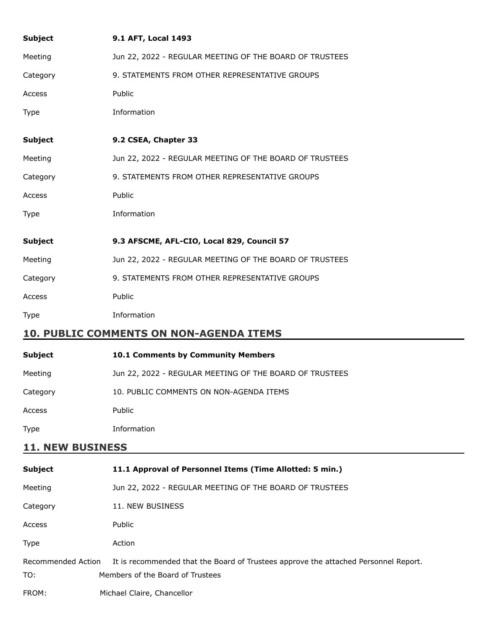| <b>Subject</b>            | 9.1 AFT, Local 1493                                                                                                     |
|---------------------------|-------------------------------------------------------------------------------------------------------------------------|
| Meeting                   | Jun 22, 2022 - REGULAR MEETING OF THE BOARD OF TRUSTEES                                                                 |
| Category                  | 9. STATEMENTS FROM OTHER REPRESENTATIVE GROUPS                                                                          |
| Access                    | Public                                                                                                                  |
| Type                      | Information                                                                                                             |
| <b>Subject</b>            | 9.2 CSEA, Chapter 33                                                                                                    |
| Meeting                   | Jun 22, 2022 - REGULAR MEETING OF THE BOARD OF TRUSTEES                                                                 |
| Category                  | 9. STATEMENTS FROM OTHER REPRESENTATIVE GROUPS                                                                          |
| Access                    | Public                                                                                                                  |
| Type                      | Information                                                                                                             |
| <b>Subject</b>            | 9.3 AFSCME, AFL-CIO, Local 829, Council 57                                                                              |
| Meeting                   | Jun 22, 2022 - REGULAR MEETING OF THE BOARD OF TRUSTEES                                                                 |
| Category                  | 9. STATEMENTS FROM OTHER REPRESENTATIVE GROUPS                                                                          |
| Access                    | Public                                                                                                                  |
| Type                      | Information                                                                                                             |
|                           | <b>10. PUBLIC COMMENTS ON NON-AGENDA ITEMS</b>                                                                          |
| <b>Subject</b>            | 10.1 Comments by Community Members                                                                                      |
| Meeting                   | Jun 22, 2022 - REGULAR MEETING OF THE BOARD OF TRUSTEES                                                                 |
| Category                  | 10. PUBLIC COMMENTS ON NON-AGENDA ITEMS                                                                                 |
| Access                    | Public                                                                                                                  |
| <b>Type</b>               | Information                                                                                                             |
| <b>11. NEW BUSINESS</b>   |                                                                                                                         |
| <b>Subject</b>            | 11.1 Approval of Personnel Items (Time Allotted: 5 min.)                                                                |
| Meeting                   | Jun 22, 2022 - REGULAR MEETING OF THE BOARD OF TRUSTEES                                                                 |
| Category                  | 11. NEW BUSINESS                                                                                                        |
| Access                    | Public                                                                                                                  |
| <b>Type</b>               | Action                                                                                                                  |
| Recommended Action<br>TO: | It is recommended that the Board of Trustees approve the attached Personnel Report.<br>Members of the Board of Trustees |
| FROM:                     | Michael Claire, Chancellor                                                                                              |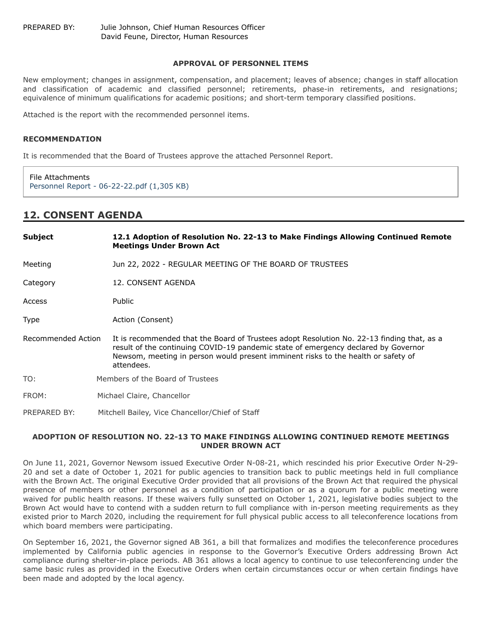#### **APPROVAL OF PERSONNEL ITEMS**

New employment; changes in assignment, compensation, and placement; leaves of absence; changes in staff allocation and classification of academic and classified personnel; retirements, phase-in retirements, and resignations; equivalence of minimum qualifications for academic positions; and short-term temporary classified positions.

Attached is the report with the recommended personnel items.

#### **RECOMMENDATION**

It is recommended that the Board of Trustees approve the attached Personnel Report.

File Attachments [Personnel Report - 06-22-22.pdf \(1,305 KB\)](https://go.boarddocs.com/ca/smccd/Board.nsf/files/CFFRC76D484C/$file/Personnel%20Report%20-%2006-22-22.pdf)

# **12. CONSENT AGENDA**

| <b>Subject</b>     | 12.1 Adoption of Resolution No. 22-13 to Make Findings Allowing Continued Remote<br><b>Meetings Under Brown Act</b>                                                                                                                                                                 |
|--------------------|-------------------------------------------------------------------------------------------------------------------------------------------------------------------------------------------------------------------------------------------------------------------------------------|
| Meeting            | Jun 22, 2022 - REGULAR MEETING OF THE BOARD OF TRUSTEES                                                                                                                                                                                                                             |
| Category           | 12. CONSENT AGENDA                                                                                                                                                                                                                                                                  |
| Access             | <b>Public</b>                                                                                                                                                                                                                                                                       |
| Type               | Action (Consent)                                                                                                                                                                                                                                                                    |
| Recommended Action | It is recommended that the Board of Trustees adopt Resolution No. 22-13 finding that, as a<br>result of the continuing COVID-19 pandemic state of emergency declared by Governor<br>Newsom, meeting in person would present imminent risks to the health or safety of<br>attendees. |
| TO:                | Members of the Board of Trustees                                                                                                                                                                                                                                                    |
| FROM:              | Michael Claire, Chancellor                                                                                                                                                                                                                                                          |
| PREPARED BY:       | Mitchell Bailey, Vice Chancellor/Chief of Staff                                                                                                                                                                                                                                     |

#### **ADOPTION OF RESOLUTION NO. 22-13 TO MAKE FINDINGS ALLOWING CONTINUED REMOTE MEETINGS UNDER BROWN ACT**

On June 11, 2021, Governor Newsom issued Executive Order N-08-21, which rescinded his prior Executive Order N-29- 20 and set a date of October 1, 2021 for public agencies to transition back to public meetings held in full compliance with the Brown Act. The original Executive Order provided that all provisions of the Brown Act that required the physical presence of members or other personnel as a condition of participation or as a quorum for a public meeting were waived for public health reasons. If these waivers fully sunsetted on October 1, 2021, legislative bodies subject to the Brown Act would have to contend with a sudden return to full compliance with in-person meeting requirements as they existed prior to March 2020, including the requirement for full physical public access to all teleconference locations from which board members were participating.

On September 16, 2021, the Governor signed AB 361, a bill that formalizes and modifies the teleconference procedures implemented by California public agencies in response to the Governor's Executive Orders addressing Brown Act compliance during shelter-in-place periods. AB 361 allows a local agency to continue to use teleconferencing under the same basic rules as provided in the Executive Orders when certain circumstances occur or when certain findings have been made and adopted by the local agency.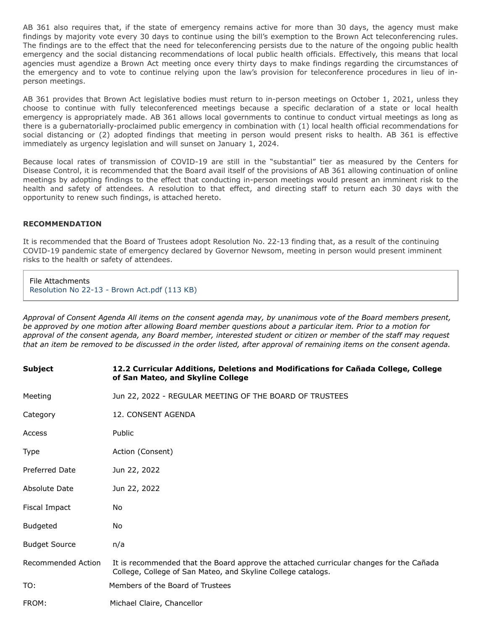AB 361 also requires that, if the state of emergency remains active for more than 30 days, the agency must make findings by majority vote every 30 days to continue using the bill's exemption to the Brown Act teleconferencing rules. The findings are to the effect that the need for teleconferencing persists due to the nature of the ongoing public health emergency and the social distancing recommendations of local public health officials. Effectively, this means that local agencies must agendize a Brown Act meeting once every thirty days to make findings regarding the circumstances of the emergency and to vote to continue relying upon the law's provision for teleconference procedures in lieu of inperson meetings.

AB 361 provides that Brown Act legislative bodies must return to in-person meetings on October 1, 2021, unless they choose to continue with fully teleconferenced meetings because a specific declaration of a state or local health emergency is appropriately made. AB 361 allows local governments to continue to conduct virtual meetings as long as there is a gubernatorially-proclaimed public emergency in combination with (1) local health official recommendations for social distancing or (2) adopted findings that meeting in person would present risks to health. AB 361 is effective immediately as urgency legislation and will sunset on January 1, 2024.

Because local rates of transmission of COVID-19 are still in the "substantial" tier as measured by the Centers for Disease Control, it is recommended that the Board avail itself of the provisions of AB 361 allowing continuation of online meetings by adopting findings to the effect that conducting in-person meetings would present an imminent risk to the health and safety of attendees. A resolution to that effect, and directing staff to return each 30 days with the opportunity to renew such findings, is attached hereto.

#### **RECOMMENDATION**

It is recommended that the Board of Trustees adopt Resolution No. 22-13 finding that, as a result of the continuing COVID-19 pandemic state of emergency declared by Governor Newsom, meeting in person would present imminent risks to the health or safety of attendees.

File Attachments [Resolution No 22-13 - Brown Act.pdf \(113 KB\)](https://go.boarddocs.com/ca/smccd/Board.nsf/files/CFFV7B7F5507/$file/Resolution%20No%2022-13%20-%20Brown%20Act.pdf)

*Approval of Consent Agenda All items on the consent agenda may, by unanimous vote of the Board members present, be approved by one motion after allowing Board member questions about a particular item. Prior to a motion for approval of the consent agenda, any Board member, interested student or citizen or member of the staff may request that an item be removed to be discussed in the order listed, after approval of remaining items on the consent agenda.*

| <b>Subject</b>       | 12.2 Curricular Additions, Deletions and Modifications for Cañada College, College<br>of San Mateo, and Skyline College                                 |
|----------------------|---------------------------------------------------------------------------------------------------------------------------------------------------------|
| Meeting              | Jun 22, 2022 - REGULAR MEETING OF THE BOARD OF TRUSTEES                                                                                                 |
| Category             | 12. CONSENT AGENDA                                                                                                                                      |
| Access               | Public                                                                                                                                                  |
| Type                 | Action (Consent)                                                                                                                                        |
| Preferred Date       | Jun 22, 2022                                                                                                                                            |
| Absolute Date        | Jun 22, 2022                                                                                                                                            |
| Fiscal Impact        | No                                                                                                                                                      |
| <b>Budgeted</b>      | No                                                                                                                                                      |
| <b>Budget Source</b> | n/a                                                                                                                                                     |
| Recommended Action   | It is recommended that the Board approve the attached curricular changes for the Cañada<br>College, College of San Mateo, and Skyline College catalogs. |
| TO:                  | Members of the Board of Trustees                                                                                                                        |
| FROM:                | Michael Claire, Chancellor                                                                                                                              |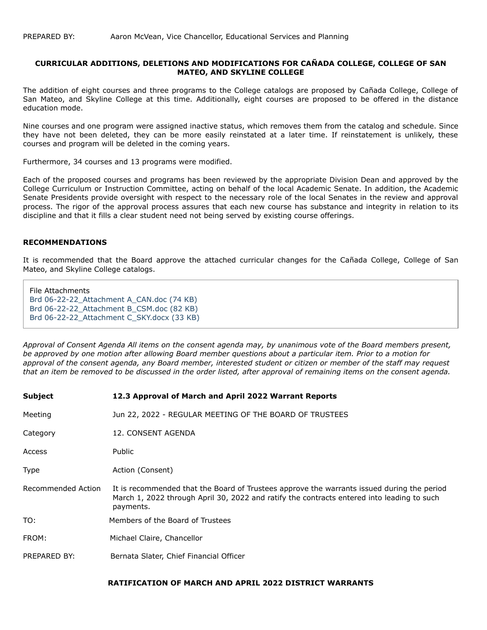#### **CURRICULAR ADDITIONS, DELETIONS AND MODIFICATIONS FOR CAÑADA COLLEGE, COLLEGE OF SAN MATEO, AND SKYLINE COLLEGE**

The addition of eight courses and three programs to the College catalogs are proposed by Cañada College, College of San Mateo, and Skyline College at this time. Additionally, eight courses are proposed to be offered in the distance education mode.

Nine courses and one program were assigned inactive status, which removes them from the catalog and schedule. Since they have not been deleted, they can be more easily reinstated at a later time. If reinstatement is unlikely, these courses and program will be deleted in the coming years.

Furthermore, 34 courses and 13 programs were modified.

Each of the proposed courses and programs has been reviewed by the appropriate Division Dean and approved by the College Curriculum or Instruction Committee, acting on behalf of the local Academic Senate. In addition, the Academic Senate Presidents provide oversight with respect to the necessary role of the local Senates in the review and approval process. The rigor of the approval process assures that each new course has substance and integrity in relation to its discipline and that it fills a clear student need not being served by existing course offerings.

#### **RECOMMENDATIONS**

It is recommended that the Board approve the attached curricular changes for the Cañada College, College of San Mateo, and Skyline College catalogs.

File Attachments [Brd 06-22-22\\_Attachment A\\_CAN.doc \(74 KB\)](https://go.boarddocs.com/ca/smccd/Board.nsf/files/CF7RLZ6D6BD6/$file/Brd%2006-22-22_Attachment%20A_CAN.doc) Brd 06-22-22 Attachment B CSM.doc (82 KB) [Brd 06-22-22\\_Attachment C\\_SKY.docx \(33 KB\)](https://go.boarddocs.com/ca/smccd/Board.nsf/files/CF7RM56D6BED/$file/Brd%2006-22-22_Attachment%20C_SKY.docx)

*Approval of Consent Agenda All items on the consent agenda may, by unanimous vote of the Board members present, be approved by one motion after allowing Board member questions about a particular item. Prior to a motion for approval of the consent agenda, any Board member, interested student or citizen or member of the staff may request that an item be removed to be discussed in the order listed, after approval of remaining items on the consent agenda.*

| <b>Subject</b>     | 12.3 Approval of March and April 2022 Warrant Reports                                                                                                                                                 |
|--------------------|-------------------------------------------------------------------------------------------------------------------------------------------------------------------------------------------------------|
| Meeting            | Jun 22, 2022 - REGULAR MEETING OF THE BOARD OF TRUSTEES                                                                                                                                               |
| Category           | 12. CONSENT AGENDA                                                                                                                                                                                    |
| Access             | Public                                                                                                                                                                                                |
| <b>Type</b>        | Action (Consent)                                                                                                                                                                                      |
| Recommended Action | It is recommended that the Board of Trustees approve the warrants issued during the period<br>March 1, 2022 through April 30, 2022 and ratify the contracts entered into leading to such<br>payments. |
| TO:                | Members of the Board of Trustees                                                                                                                                                                      |
| FROM:              | Michael Claire, Chancellor                                                                                                                                                                            |
| PREPARED BY:       | Bernata Slater, Chief Financial Officer                                                                                                                                                               |

## **RATIFICATION OF MARCH AND APRIL 2022 DISTRICT WARRANTS**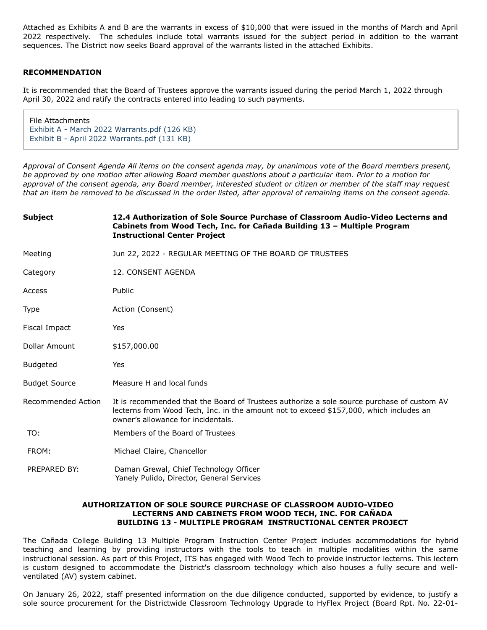Attached as Exhibits A and B are the warrants in excess of \$10,000 that were issued in the months of March and April 2022 respectively. The schedules include total warrants issued for the subject period in addition to the warrant sequences. The District now seeks Board approval of the warrants listed in the attached Exhibits.

## **RECOMMENDATION**

It is recommended that the Board of Trustees approve the warrants issued during the period March 1, 2022 through April 30, 2022 and ratify the contracts entered into leading to such payments.

File Attachments [Exhibit A - March 2022 Warrants.pdf \(126 KB\)](https://go.boarddocs.com/ca/smccd/Board.nsf/files/CFFR646C50A5/$file/Exhibit%20A%20-%20March%202022%20Warrants.pdf) [Exhibit B - April 2022 Warrants.pdf \(131 KB\)](https://go.boarddocs.com/ca/smccd/Board.nsf/files/CFFR666C521E/$file/Exhibit%20B%20-%20April%202022%20Warrants.pdf)

*Approval of Consent Agenda All items on the consent agenda may, by unanimous vote of the Board members present, be approved by one motion after allowing Board member questions about a particular item. Prior to a motion for approval of the consent agenda, any Board member, interested student or citizen or member of the staff may request that an item be removed to be discussed in the order listed, after approval of remaining items on the consent agenda.*

| <b>Subject</b>            | 12.4 Authorization of Sole Source Purchase of Classroom Audio-Video Lecterns and<br>Cabinets from Wood Tech, Inc. for Cañada Building 13 - Multiple Program<br><b>Instructional Center Project</b>                         |
|---------------------------|----------------------------------------------------------------------------------------------------------------------------------------------------------------------------------------------------------------------------|
| Meeting                   | Jun 22, 2022 - REGULAR MEETING OF THE BOARD OF TRUSTEES                                                                                                                                                                    |
| Category                  | 12. CONSENT AGENDA                                                                                                                                                                                                         |
| Access                    | Public                                                                                                                                                                                                                     |
| Type                      | Action (Consent)                                                                                                                                                                                                           |
| Fiscal Impact             | Yes                                                                                                                                                                                                                        |
| Dollar Amount             | \$157,000.00                                                                                                                                                                                                               |
| Budgeted                  | Yes                                                                                                                                                                                                                        |
| <b>Budget Source</b>      | Measure H and local funds                                                                                                                                                                                                  |
| <b>Recommended Action</b> | It is recommended that the Board of Trustees authorize a sole source purchase of custom AV<br>lecterns from Wood Tech, Inc. in the amount not to exceed \$157,000, which includes an<br>owner's allowance for incidentals. |
| TO:                       | Members of the Board of Trustees                                                                                                                                                                                           |
| FROM:                     | Michael Claire, Chancellor                                                                                                                                                                                                 |
| PREPARED BY:              | Daman Grewal, Chief Technology Officer<br>Yanely Pulido, Director, General Services                                                                                                                                        |

## **AUTHORIZATION OF SOLE SOURCE PURCHASE OF CLASSROOM AUDIO-VIDEO LECTERNS AND CABINETS FROM WOOD TECH, INC. FOR CAÑADA BUILDING 13 - MULTIPLE PROGRAM INSTRUCTIONAL CENTER PROJECT**

The Cañada College Building 13 Multiple Program Instruction Center Project includes accommodations for hybrid teaching and learning by providing instructors with the tools to teach in multiple modalities within the same instructional session. As part of this Project, ITS has engaged with Wood Tech to provide instructor lecterns. This lectern is custom designed to accommodate the District's classroom technology which also houses a fully secure and wellventilated (AV) system cabinet.

On January 26, 2022, staff presented information on the due diligence conducted, supported by evidence, to justify a sole source procurement for the Districtwide Classroom Technology Upgrade to HyFlex Project (Board Rpt. No. 22-01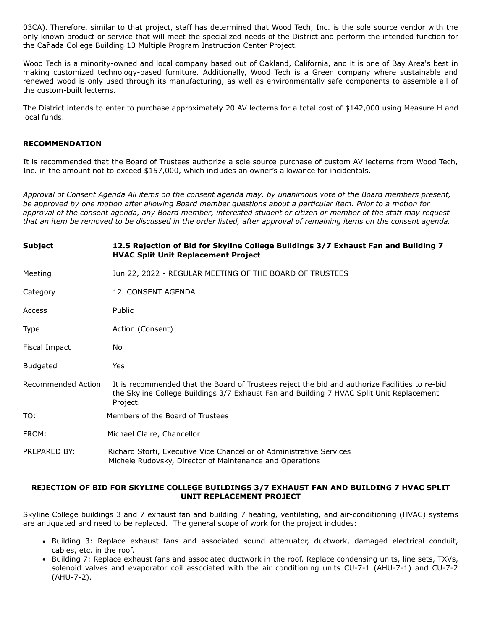03CA). Therefore, similar to that project, staff has determined that Wood Tech, Inc. is the sole source vendor with the only known product or service that will meet the specialized needs of the District and perform the intended function for the Cañada College Building 13 Multiple Program Instruction Center Project.

Wood Tech is a minority-owned and local company based out of Oakland, California, and it is one of Bay Area's best in making customized technology-based furniture. Additionally, Wood Tech is a Green company where sustainable and renewed wood is only used through its manufacturing, as well as environmentally safe components to assemble all of the custom-built lecterns.

The District intends to enter to purchase approximately 20 AV lecterns for a total cost of \$142,000 using Measure H and local funds.

#### **RECOMMENDATION**

It is recommended that the Board of Trustees authorize a sole source purchase of custom AV lecterns from Wood Tech, Inc. in the amount not to exceed \$157,000, which includes an owner's allowance for incidentals.

*Approval of Consent Agenda All items on the consent agenda may, by unanimous vote of the Board members present, be approved by one motion after allowing Board member questions about a particular item. Prior to a motion for approval of the consent agenda, any Board member, interested student or citizen or member of the staff may request that an item be removed to be discussed in the order listed, after approval of remaining items on the consent agenda.*

| <b>Subject</b>     | 12.5 Rejection of Bid for Skyline College Buildings 3/7 Exhaust Fan and Building 7<br><b>HVAC Split Unit Replacement Project</b>                                                                       |
|--------------------|--------------------------------------------------------------------------------------------------------------------------------------------------------------------------------------------------------|
| Meeting            | Jun 22, 2022 - REGULAR MEETING OF THE BOARD OF TRUSTEES                                                                                                                                                |
| Category           | 12. CONSENT AGENDA                                                                                                                                                                                     |
| Access             | Public                                                                                                                                                                                                 |
| <b>Type</b>        | Action (Consent)                                                                                                                                                                                       |
| Fiscal Impact      | No                                                                                                                                                                                                     |
| <b>Budgeted</b>    | Yes                                                                                                                                                                                                    |
| Recommended Action | It is recommended that the Board of Trustees reject the bid and authorize Facilities to re-bid<br>the Skyline College Buildings 3/7 Exhaust Fan and Building 7 HVAC Split Unit Replacement<br>Project. |
| TO:                | Members of the Board of Trustees                                                                                                                                                                       |
| FROM:              | Michael Claire, Chancellor                                                                                                                                                                             |
| PREPARED BY:       | Richard Storti, Executive Vice Chancellor of Administrative Services<br>Michele Rudovsky, Director of Maintenance and Operations                                                                       |

# **REJECTION OF BID FOR SKYLINE COLLEGE BUILDINGS 3/7 EXHAUST FAN AND BUILDING 7 HVAC SPLIT UNIT REPLACEMENT PROJECT**

Skyline College buildings 3 and 7 exhaust fan and building 7 heating, ventilating, and air-conditioning (HVAC) systems are antiquated and need to be replaced. The general scope of work for the project includes:

- Building 3: Replace exhaust fans and associated sound attenuator, ductwork, damaged electrical conduit, cables, etc. in the roof.
- Building 7: Replace exhaust fans and associated ductwork in the roof. Replace condensing units, line sets, TXVs, solenoid valves and evaporator coil associated with the air conditioning units CU-7-1 (AHU-7-1) and CU-7-2 (AHU-7-2).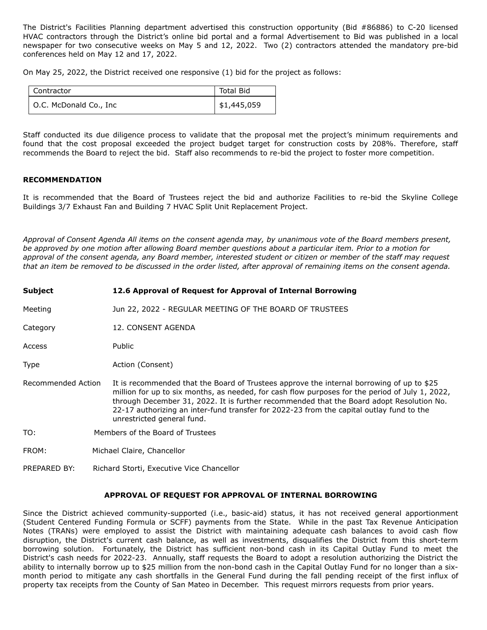The District's Facilities Planning department advertised this construction opportunity (Bid #86886) to C-20 licensed HVAC contractors through the District's online bid portal and a formal Advertisement to Bid was published in a local newspaper for two consecutive weeks on May 5 and 12, 2022. Two (2) contractors attended the mandatory pre-bid conferences held on May 12 and 17, 2022.

On May 25, 2022, the District received one responsive (1) bid for the project as follows:

| Contractor             | <b>Total Bid</b> |
|------------------------|------------------|
| O.C. McDonald Co., Inc | \$1,445,059      |

Staff conducted its due diligence process to validate that the proposal met the project's minimum requirements and found that the cost proposal exceeded the project budget target for construction costs by 208%. Therefore, staff recommends the Board to reject the bid. Staff also recommends to re-bid the project to foster more competition.

# **RECOMMENDATION**

It is recommended that the Board of Trustees reject the bid and authorize Facilities to re-bid the Skyline College Buildings 3/7 Exhaust Fan and Building 7 HVAC Split Unit Replacement Project.

*Approval of Consent Agenda All items on the consent agenda may, by unanimous vote of the Board members present, be approved by one motion after allowing Board member questions about a particular item. Prior to a motion for approval of the consent agenda, any Board member, interested student or citizen or member of the staff may request that an item be removed to be discussed in the order listed, after approval of remaining items on the consent agenda.*

| Subject            | 12.6 Approval of Request for Approval of Internal Borrowing                                                                                                                                                                                                                                                                                                                                                        |  |
|--------------------|--------------------------------------------------------------------------------------------------------------------------------------------------------------------------------------------------------------------------------------------------------------------------------------------------------------------------------------------------------------------------------------------------------------------|--|
| Meeting            | Jun 22, 2022 - REGULAR MEETING OF THE BOARD OF TRUSTEES                                                                                                                                                                                                                                                                                                                                                            |  |
| Category           | 12. CONSENT AGENDA                                                                                                                                                                                                                                                                                                                                                                                                 |  |
| Access             | Public                                                                                                                                                                                                                                                                                                                                                                                                             |  |
| Type               | Action (Consent)                                                                                                                                                                                                                                                                                                                                                                                                   |  |
| Recommended Action | It is recommended that the Board of Trustees approve the internal borrowing of up to \$25<br>million for up to six months, as needed, for cash flow purposes for the period of July 1, 2022,<br>through December 31, 2022. It is further recommended that the Board adopt Resolution No.<br>22-17 authorizing an inter-fund transfer for 2022-23 from the capital outlay fund to the<br>unrestricted general fund. |  |
| TO:                | Members of the Board of Trustees                                                                                                                                                                                                                                                                                                                                                                                   |  |
| FROM:              | Michael Claire, Chancellor                                                                                                                                                                                                                                                                                                                                                                                         |  |

PREPARED BY: Richard Storti, Executive Vice Chancellor

#### **APPROVAL OF REQUEST FOR APPROVAL OF INTERNAL BORROWING**

Since the District achieved community-supported (i.e., basic-aid) status, it has not received general apportionment (Student Centered Funding Formula or SCFF) payments from the State. While in the past Tax Revenue Anticipation Notes (TRANs) were employed to assist the District with maintaining adequate cash balances to avoid cash flow disruption, the District's current cash balance, as well as investments, disqualifies the District from this short-term borrowing solution. Fortunately, the District has sufficient non-bond cash in its Capital Outlay Fund to meet the District's cash needs for 2022-23. Annually, staff requests the Board to adopt a resolution authorizing the District the ability to internally borrow up to \$25 million from the non-bond cash in the Capital Outlay Fund for no longer than a sixmonth period to mitigate any cash shortfalls in the General Fund during the fall pending receipt of the first influx of property tax receipts from the County of San Mateo in December. This request mirrors requests from prior years.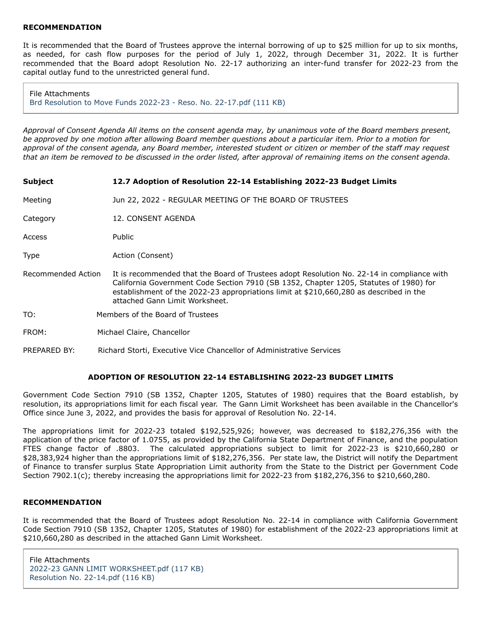#### **RECOMMENDATION**

It is recommended that the Board of Trustees approve the internal borrowing of up to \$25 million for up to six months, as needed, for cash flow purposes for the period of July 1, 2022, through December 31, 2022. It is further recommended that the Board adopt Resolution No. 22-17 authorizing an inter-fund transfer for 2022-23 from the capital outlay fund to the unrestricted general fund.

File Attachments [Brd Resolution to Move Funds 2022-23 - Reso. No. 22-17.pdf \(111 KB\)](https://go.boarddocs.com/ca/smccd/Board.nsf/files/CFFQGQ67C940/$file/Brd%20%20Resolution%20to%20Move%20Funds%202022-23%20-%20Reso.%20No.%2022-17.pdf)

*Approval of Consent Agenda All items on the consent agenda may, by unanimous vote of the Board members present, be approved by one motion after allowing Board member questions about a particular item. Prior to a motion for approval of the consent agenda, any Board member, interested student or citizen or member of the staff may request that an item be removed to be discussed in the order listed, after approval of remaining items on the consent agenda.*

| <b>Subject</b>     | 12.7 Adoption of Resolution 22-14 Establishing 2022-23 Budget Limits                                                                                                                                                                                                                                            |
|--------------------|-----------------------------------------------------------------------------------------------------------------------------------------------------------------------------------------------------------------------------------------------------------------------------------------------------------------|
| Meeting            | Jun 22, 2022 - REGULAR MEETING OF THE BOARD OF TRUSTEES                                                                                                                                                                                                                                                         |
| Category           | 12. CONSENT AGENDA                                                                                                                                                                                                                                                                                              |
| Access             | <b>Public</b>                                                                                                                                                                                                                                                                                                   |
| Type               | Action (Consent)                                                                                                                                                                                                                                                                                                |
| Recommended Action | It is recommended that the Board of Trustees adopt Resolution No. 22-14 in compliance with<br>California Government Code Section 7910 (SB 1352, Chapter 1205, Statutes of 1980) for<br>establishment of the 2022-23 appropriations limit at \$210,660,280 as described in the<br>attached Gann Limit Worksheet. |
| TO:                | Members of the Board of Trustees                                                                                                                                                                                                                                                                                |
| FROM:              | Michael Claire, Chancellor                                                                                                                                                                                                                                                                                      |
| PREPARED BY:       | Richard Storti, Executive Vice Chancellor of Administrative Services                                                                                                                                                                                                                                            |

## **ADOPTION OF RESOLUTION 22-14 ESTABLISHING 2022-23 BUDGET LIMITS**

Government Code Section 7910 (SB 1352, Chapter 1205, Statutes of 1980) requires that the Board establish, by resolution, its appropriations limit for each fiscal year. The Gann Limit Worksheet has been available in the Chancellor's Office since June 3, 2022, and provides the basis for approval of Resolution No. 22-14.

The appropriations limit for 2022-23 totaled \$192,525,926; however, was decreased to \$182,276,356 with the application of the price factor of 1.0755, as provided by the California State Department of Finance, and the population FTES change factor of .8803. The calculated appropriations subject to limit for 2022-23 is \$210,660,280 or \$28,383,924 higher than the appropriations limit of \$182,276,356. Per state law, the District will notify the Department of Finance to transfer surplus State Appropriation Limit authority from the State to the District per Government Code Section 7902.1(c); thereby increasing the appropriations limit for 2022-23 from \$182,276,356 to \$210,660,280.

# **RECOMMENDATION**

It is recommended that the Board of Trustees adopt Resolution No. 22-14 in compliance with California Government Code Section 7910 (SB 1352, Chapter 1205, Statutes of 1980) for establishment of the 2022-23 appropriations limit at \$210,660,280 as described in the attached Gann Limit Worksheet.

File Attachments [2022-23 GANN LIMIT WORKSHEET.pdf \(117 KB\)](https://go.boarddocs.com/ca/smccd/Board.nsf/files/CF2TNT783A25/$file/2022-23%20GANN%20LIMIT%20WORKSHEET.pdf) [Resolution No. 22-14.pdf \(116 KB\)](https://go.boarddocs.com/ca/smccd/Board.nsf/files/CFFN525BFED1/$file/Resolution%20No.%2022-14.pdf)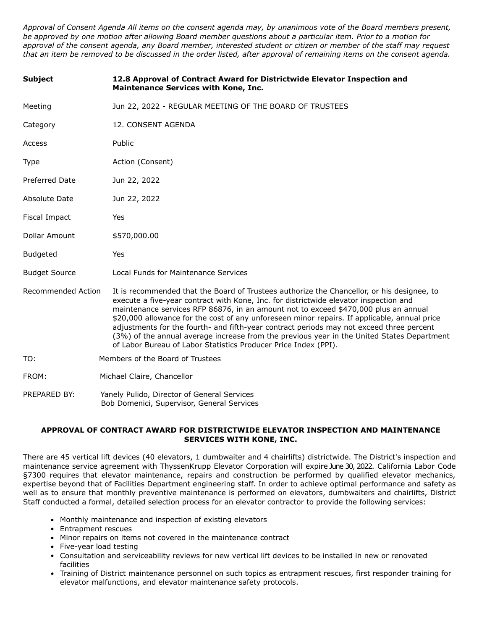*Approval of Consent Agenda All items on the consent agenda may, by unanimous vote of the Board members present, be approved by one motion after allowing Board member questions about a particular item. Prior to a motion for approval of the consent agenda, any Board member, interested student or citizen or member of the staff may request that an item be removed to be discussed in the order listed, after approval of remaining items on the consent agenda.*

| <b>Subject</b>        | 12.8 Approval of Contract Award for Districtwide Elevator Inspection and<br>Maintenance Services with Kone, Inc.                                                                                                                                                                                                                                                                                                                                                                                                                                                                                                                        |
|-----------------------|-----------------------------------------------------------------------------------------------------------------------------------------------------------------------------------------------------------------------------------------------------------------------------------------------------------------------------------------------------------------------------------------------------------------------------------------------------------------------------------------------------------------------------------------------------------------------------------------------------------------------------------------|
| Meeting               | Jun 22, 2022 - REGULAR MEETING OF THE BOARD OF TRUSTEES                                                                                                                                                                                                                                                                                                                                                                                                                                                                                                                                                                                 |
| Category              | 12. CONSENT AGENDA                                                                                                                                                                                                                                                                                                                                                                                                                                                                                                                                                                                                                      |
| Access                | Public                                                                                                                                                                                                                                                                                                                                                                                                                                                                                                                                                                                                                                  |
| <b>Type</b>           | Action (Consent)                                                                                                                                                                                                                                                                                                                                                                                                                                                                                                                                                                                                                        |
| <b>Preferred Date</b> | Jun 22, 2022                                                                                                                                                                                                                                                                                                                                                                                                                                                                                                                                                                                                                            |
| <b>Absolute Date</b>  | Jun 22, 2022                                                                                                                                                                                                                                                                                                                                                                                                                                                                                                                                                                                                                            |
| Fiscal Impact         | Yes                                                                                                                                                                                                                                                                                                                                                                                                                                                                                                                                                                                                                                     |
| Dollar Amount         | \$570,000.00                                                                                                                                                                                                                                                                                                                                                                                                                                                                                                                                                                                                                            |
| <b>Budgeted</b>       | Yes                                                                                                                                                                                                                                                                                                                                                                                                                                                                                                                                                                                                                                     |
| <b>Budget Source</b>  | Local Funds for Maintenance Services                                                                                                                                                                                                                                                                                                                                                                                                                                                                                                                                                                                                    |
| Recommended Action    | It is recommended that the Board of Trustees authorize the Chancellor, or his designee, to<br>execute a five-year contract with Kone, Inc. for districtwide elevator inspection and<br>maintenance services RFP 86876, in an amount not to exceed \$470,000 plus an annual<br>\$20,000 allowance for the cost of any unforeseen minor repairs. If applicable, annual price<br>adjustments for the fourth- and fifth-year contract periods may not exceed three percent<br>(3%) of the annual average increase from the previous year in the United States Department<br>of Labor Bureau of Labor Statistics Producer Price Index (PPI). |
| TO:                   | Members of the Board of Trustees                                                                                                                                                                                                                                                                                                                                                                                                                                                                                                                                                                                                        |
| FROM:                 | Michael Claire, Chancellor                                                                                                                                                                                                                                                                                                                                                                                                                                                                                                                                                                                                              |
| PREPARED BY:          | Yanely Pulido, Director of General Services<br>Bob Domenici, Supervisor, General Services                                                                                                                                                                                                                                                                                                                                                                                                                                                                                                                                               |

#### **APPROVAL OF CONTRACT AWARD FOR DISTRICTWIDE ELEVATOR INSPECTION AND MAINTENANCE SERVICES WITH KONE, INC.**

There are 45 vertical lift devices (40 elevators, 1 dumbwaiter and 4 chairlifts) districtwide. The District's inspection and maintenance service agreement with ThyssenKrupp Elevator Corporation will expire June 30, 2022. California Labor Code §7300 requires that elevator maintenance, repairs and construction be performed by qualified elevator mechanics, expertise beyond that of Facilities Department engineering staff. In order to achieve optimal performance and safety as well as to ensure that monthly preventive maintenance is performed on elevators, dumbwaiters and chairlifts, District Staff conducted a formal, detailed selection process for an elevator contractor to provide the following services:

- Monthly maintenance and inspection of existing elevators
- Entrapment rescues
- Minor repairs on items not covered in the maintenance contract
- Five-year load testing
- Consultation and serviceability reviews for new vertical lift devices to be installed in new or renovated facilities
- Training of District maintenance personnel on such topics as entrapment rescues, first responder training for elevator malfunctions, and elevator maintenance safety protocols.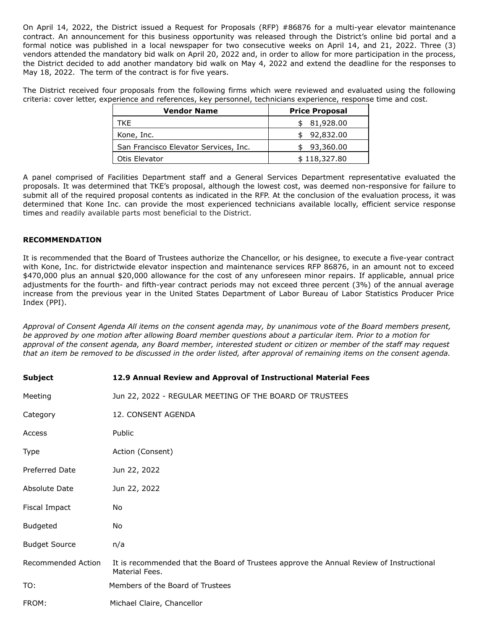On April 14, 2022, the District issued a Request for Proposals (RFP) #86876 for a multi-year elevator maintenance contract. An announcement for this business opportunity was released through the District's online bid portal and a formal notice was published in a local newspaper for two consecutive weeks on April 14, and 21, 2022. Three (3) vendors attended the mandatory bid walk on April 20, 2022 and, in order to allow for more participation in the process, the District decided to add another mandatory bid walk on May 4, 2022 and extend the deadline for the responses to May 18, 2022. The term of the contract is for five years.

The District received four proposals from the following firms which were reviewed and evaluated using the following criteria: cover letter, experience and references, key personnel, technicians experience, response time and cost.

| <b>Vendor Name</b>                    | <b>Price Proposal</b> |
|---------------------------------------|-----------------------|
| TKF                                   | 81,928.00             |
| Kone, Inc.                            | 92,832.00             |
| San Francisco Elevator Services, Inc. | 93,360.00             |
| Otis Elevator                         | \$118,327.80          |

A panel comprised of Facilities Department staff and a General Services Department representative evaluated the proposals. It was determined that TKE's proposal, although the lowest cost, was deemed non-responsive for failure to submit all of the required proposal contents as indicated in the RFP. At the conclusion of the evaluation process, it was determined that Kone Inc. can provide the most experienced technicians available locally, efficient service response times and readily available parts most beneficial to the District.

## **RECOMMENDATION**

It is recommended that the Board of Trustees authorize the Chancellor, or his designee, to execute a five-year contract with Kone, Inc. for districtwide elevator inspection and maintenance services RFP 86876, in an amount not to exceed \$470,000 plus an annual \$20,000 allowance for the cost of any unforeseen minor repairs. If applicable, annual price adjustments for the fourth- and fifth-year contract periods may not exceed three percent (3%) of the annual average increase from the previous year in the United States Department of Labor Bureau of Labor Statistics Producer Price Index (PPI).

*Approval of Consent Agenda All items on the consent agenda may, by unanimous vote of the Board members present, be approved by one motion after allowing Board member questions about a particular item. Prior to a motion for approval of the consent agenda, any Board member, interested student or citizen or member of the staff may request that an item be removed to be discussed in the order listed, after approval of remaining items on the consent agenda.*

| <b>Subject</b>       | 12.9 Annual Review and Approval of Instructional Material Fees                                            |
|----------------------|-----------------------------------------------------------------------------------------------------------|
| Meeting              | Jun 22, 2022 - REGULAR MEETING OF THE BOARD OF TRUSTEES                                                   |
| Category             | 12. CONSENT AGENDA                                                                                        |
| Access               | Public                                                                                                    |
| Type                 | Action (Consent)                                                                                          |
| Preferred Date       | Jun 22, 2022                                                                                              |
| Absolute Date        | Jun 22, 2022                                                                                              |
| Fiscal Impact        | No.                                                                                                       |
| <b>Budgeted</b>      | No.                                                                                                       |
| <b>Budget Source</b> | n/a                                                                                                       |
| Recommended Action   | It is recommended that the Board of Trustees approve the Annual Review of Instructional<br>Material Fees. |
| TO:                  | Members of the Board of Trustees                                                                          |
| FROM:                | Michael Claire, Chancellor                                                                                |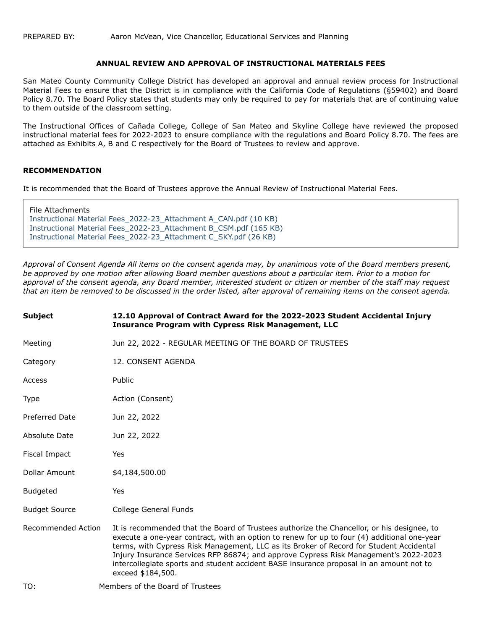#### **ANNUAL REVIEW AND APPROVAL OF INSTRUCTIONAL MATERIALS FEES**

San Mateo County Community College District has developed an approval and annual review process for Instructional Material Fees to ensure that the District is in compliance with the California Code of Regulations (§59402) and Board Policy 8.70. The Board Policy states that students may only be required to pay for materials that are of continuing value to them outside of the classroom setting.

The Instructional Offices of Cañada College, College of San Mateo and Skyline College have reviewed the proposed instructional material fees for 2022-2023 to ensure compliance with the regulations and Board Policy 8.70. The fees are attached as Exhibits A, B and C respectively for the Board of Trustees to review and approve.

## **RECOMMENDATION**

It is recommended that the Board of Trustees approve the Annual Review of Instructional Material Fees.

File Attachments [Instructional Material Fees\\_2022-23\\_Attachment A\\_CAN.pdf \(10 KB\)](https://go.boarddocs.com/ca/smccd/Board.nsf/files/CFFPXS6356B7/$file/Instructional%20Material%20Fees_2022-23_Attachment%20A_CAN.pdf) [Instructional Material Fees\\_2022-23\\_Attachment B\\_CSM.pdf \(165 KB\)](https://go.boarddocs.com/ca/smccd/Board.nsf/files/CFFPXX63594D/$file/Instructional%20Material%20Fees_2022-23_Attachment%20B_CSM.pdf) [Instructional Material Fees\\_2022-23\\_Attachment C\\_SKY.pdf \(26 KB\)](https://go.boarddocs.com/ca/smccd/Board.nsf/files/CFFPY5635DAF/$file/Instructional%20Material%20Fees_2022-23_Attachment%20C_SKY.pdf)

*Approval of Consent Agenda All items on the consent agenda may, by unanimous vote of the Board members present, be approved by one motion after allowing Board member questions about a particular item. Prior to a motion for approval of the consent agenda, any Board member, interested student or citizen or member of the staff may request that an item be removed to be discussed in the order listed, after approval of remaining items on the consent agenda.*

| <b>Subject</b>       | 12.10 Approval of Contract Award for the 2022-2023 Student Accidental Injury<br><b>Insurance Program with Cypress Risk Management, LLC</b>                                                                                                                                                                                                                                                                                                                                                   |
|----------------------|----------------------------------------------------------------------------------------------------------------------------------------------------------------------------------------------------------------------------------------------------------------------------------------------------------------------------------------------------------------------------------------------------------------------------------------------------------------------------------------------|
| Meeting              | Jun 22, 2022 - REGULAR MEETING OF THE BOARD OF TRUSTEES                                                                                                                                                                                                                                                                                                                                                                                                                                      |
| Category             | 12. CONSENT AGENDA                                                                                                                                                                                                                                                                                                                                                                                                                                                                           |
| Access               | Public                                                                                                                                                                                                                                                                                                                                                                                                                                                                                       |
| Type                 | Action (Consent)                                                                                                                                                                                                                                                                                                                                                                                                                                                                             |
| Preferred Date       | Jun 22, 2022                                                                                                                                                                                                                                                                                                                                                                                                                                                                                 |
| <b>Absolute Date</b> | Jun 22, 2022                                                                                                                                                                                                                                                                                                                                                                                                                                                                                 |
| Fiscal Impact        | Yes                                                                                                                                                                                                                                                                                                                                                                                                                                                                                          |
| Dollar Amount        | \$4,184,500.00                                                                                                                                                                                                                                                                                                                                                                                                                                                                               |
| <b>Budgeted</b>      | Yes                                                                                                                                                                                                                                                                                                                                                                                                                                                                                          |
| <b>Budget Source</b> | College General Funds                                                                                                                                                                                                                                                                                                                                                                                                                                                                        |
| Recommended Action   | It is recommended that the Board of Trustees authorize the Chancellor, or his designee, to<br>execute a one-year contract, with an option to renew for up to four (4) additional one-year<br>terms, with Cypress Risk Management, LLC as its Broker of Record for Student Accidental<br>Injury Insurance Services RFP 86874; and approve Cypress Risk Management's 2022-2023<br>intercollegiate sports and student accident BASE insurance proposal in an amount not to<br>exceed \$184,500. |
| TO:                  | Members of the Board of Trustees                                                                                                                                                                                                                                                                                                                                                                                                                                                             |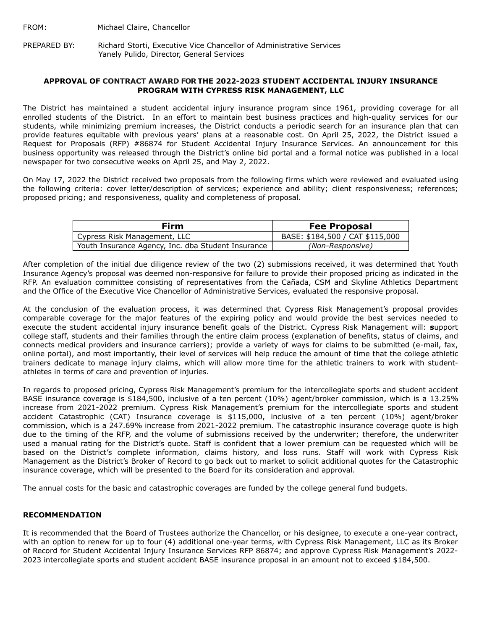FROM: Michael Claire, Chancellor

PREPARED BY: Richard Storti, Executive Vice Chancellor of Administrative Services Yanely Pulido, Director, General Services

#### **APPROVAL OF CONTRACT AWARD FOR THE 2022-2023 STUDENT ACCIDENTAL INJURY INSURANCE PROGRAM WITH CYPRESS RISK MANAGEMENT, LLC**

The District has maintained a student accidental injury insurance program since 1961, providing coverage for all enrolled students of the District. In an effort to maintain best business practices and high-quality services for our students, while minimizing premium increases, the District conducts a periodic search for an insurance plan that can provide features equitable with previous years' plans at a reasonable cost. On April 25, 2022, the District issued a Request for Proposals (RFP) #86874 for Student Accidental Injury Insurance Services. An announcement for this business opportunity was released through the District's online bid portal and a formal notice was published in a local newspaper for two consecutive weeks on April 25, and May 2, 2022.

On May 17, 2022 the District received two proposals from the following firms which were reviewed and evaluated using the following criteria: cover letter/description of services; experience and ability; client responsiveness; references; proposed pricing; and responsiveness, quality and completeness of proposal.

| Firm                                               | <b>Fee Proposal</b>             |
|----------------------------------------------------|---------------------------------|
| Cypress Risk Management, LLC                       | BASE: \$184,500 / CAT \$115,000 |
| Youth Insurance Agency, Inc. dba Student Insurance | (Non-Responsive)                |

After completion of the initial due diligence review of the two (2) submissions received, it was determined that Youth Insurance Agency's proposal was deemed non-responsive for failure to provide their proposed pricing as indicated in the RFP. An evaluation committee consisting of representatives from the Cañada, CSM and Skyline Athletics Department and the Office of the Executive Vice Chancellor of Administrative Services, evaluated the responsive proposal.

At the conclusion of the evaluation process, it was determined that Cypress Risk Management's proposal provides comparable coverage for the major features of the expiring policy and would provide the best services needed to execute the student accidental injury insurance benefit goals of the District. Cypress Risk Management will: **s**upport college staff, students and their families through the entire claim process (explanation of benefits, status of claims, and connects medical providers and insurance carriers); provide a variety of ways for claims to be submitted (e-mail, fax, online portal), and most importantly, their level of services will help reduce the amount of time that the college athletic trainers dedicate to manage injury claims, which will allow more time for the athletic trainers to work with studentathletes in terms of care and prevention of injuries.

In regards to proposed pricing, Cypress Risk Management's premium for the intercollegiate sports and student accident BASE insurance coverage is \$184,500, inclusive of a ten percent (10%) agent/broker commission, which is a 13.25% increase from 2021-2022 premium. Cypress Risk Management's premium for the intercollegiate sports and student accident Catastrophic (CAT) Insurance coverage is \$115,000, inclusive of a ten percent (10%) agent/broker commission, which is a 247.69% increase from 2021-2022 premium. The catastrophic insurance coverage quote is high due to the timing of the RFP, and the volume of submissions received by the underwriter; therefore, the underwriter used a manual rating for the District's quote. Staff is confident that a lower premium can be requested which will be based on the District's complete information, claims history, and loss runs. Staff will work with Cypress Risk Management as the District's Broker of Record to go back out to market to solicit additional quotes for the Catastrophic insurance coverage, which will be presented to the Board for its consideration and approval.

The annual costs for the basic and catastrophic coverages are funded by the college general fund budgets.

## **RECOMMENDATION**

It is recommended that the Board of Trustees authorize the Chancellor, or his designee, to execute a one-year contract, with an option to renew for up to four (4) additional one-year terms, with Cypress Risk Management, LLC as its Broker of Record for Student Accidental Injury Insurance Services RFP 86874; and approve Cypress Risk Management's 2022- 2023 intercollegiate sports and student accident BASE insurance proposal in an amount not to exceed \$184,500.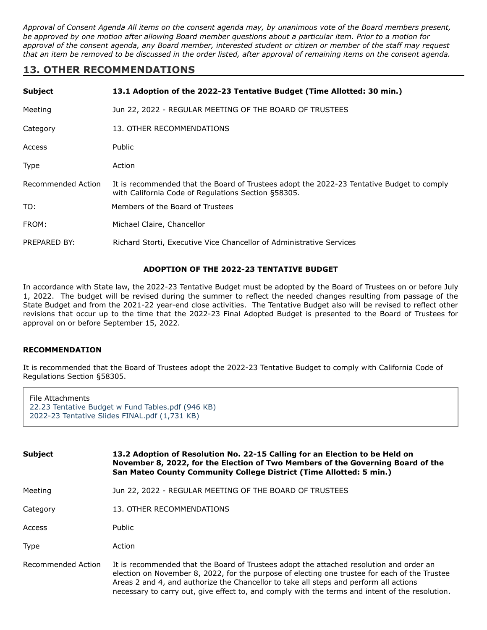*Approval of Consent Agenda All items on the consent agenda may, by unanimous vote of the Board members present, be approved by one motion after allowing Board member questions about a particular item. Prior to a motion for approval of the consent agenda, any Board member, interested student or citizen or member of the staff may request that an item be removed to be discussed in the order listed, after approval of remaining items on the consent agenda.*

# **13. OTHER RECOMMENDATIONS**

| <b>Subject</b>     | 13.1 Adoption of the 2022-23 Tentative Budget (Time Allotted: 30 min.)                                                                           |
|--------------------|--------------------------------------------------------------------------------------------------------------------------------------------------|
| Meeting            | Jun 22, 2022 - REGULAR MEETING OF THE BOARD OF TRUSTEES                                                                                          |
| Category           | 13. OTHER RECOMMENDATIONS                                                                                                                        |
| Access             | <b>Public</b>                                                                                                                                    |
| Type               | Action                                                                                                                                           |
| Recommended Action | It is recommended that the Board of Trustees adopt the 2022-23 Tentative Budget to comply<br>with California Code of Regulations Section §58305. |
| TO:                | Members of the Board of Trustees                                                                                                                 |
| FROM:              | Michael Claire, Chancellor                                                                                                                       |
| PREPARED BY:       | Richard Storti, Executive Vice Chancellor of Administrative Services                                                                             |

## **ADOPTION OF THE 2022-23 TENTATIVE BUDGET**

In accordance with State law, the 2022-23 Tentative Budget must be adopted by the Board of Trustees on or before July 1, 2022. The budget will be revised during the summer to reflect the needed changes resulting from passage of the State Budget and from the 2021-22 year-end close activities. The Tentative Budget also will be revised to reflect other revisions that occur up to the time that the 2022-23 Final Adopted Budget is presented to the Board of Trustees for approval on or before September 15, 2022.

## **RECOMMENDATION**

It is recommended that the Board of Trustees adopt the 2022-23 Tentative Budget to comply with California Code of Regulations Section §58305.

| File Attachments                                  |
|---------------------------------------------------|
| 22.23 Tentative Budget w Fund Tables.pdf (946 KB) |
| 2022-23 Tentative Slides FINAL.pdf (1,731 KB)     |

| <b>Subject</b>     | 13.2 Adoption of Resolution No. 22-15 Calling for an Election to be Held on<br>November 8, 2022, for the Election of Two Members of the Governing Board of the<br>San Mateo County Community College District (Time Allotted: 5 min.)                                                                                                                                                |  |  |
|--------------------|--------------------------------------------------------------------------------------------------------------------------------------------------------------------------------------------------------------------------------------------------------------------------------------------------------------------------------------------------------------------------------------|--|--|
| Meeting            | Jun 22, 2022 - REGULAR MEETING OF THE BOARD OF TRUSTEES                                                                                                                                                                                                                                                                                                                              |  |  |
| Category           | 13. OTHER RECOMMENDATIONS                                                                                                                                                                                                                                                                                                                                                            |  |  |
| Access             | Public                                                                                                                                                                                                                                                                                                                                                                               |  |  |
| <b>Type</b>        | Action                                                                                                                                                                                                                                                                                                                                                                               |  |  |
| Recommended Action | It is recommended that the Board of Trustees adopt the attached resolution and order an<br>election on November 8, 2022, for the purpose of electing one trustee for each of the Trustee<br>Areas 2 and 4, and authorize the Chancellor to take all steps and perform all actions<br>necessary to carry out, give effect to, and comply with the terms and intent of the resolution. |  |  |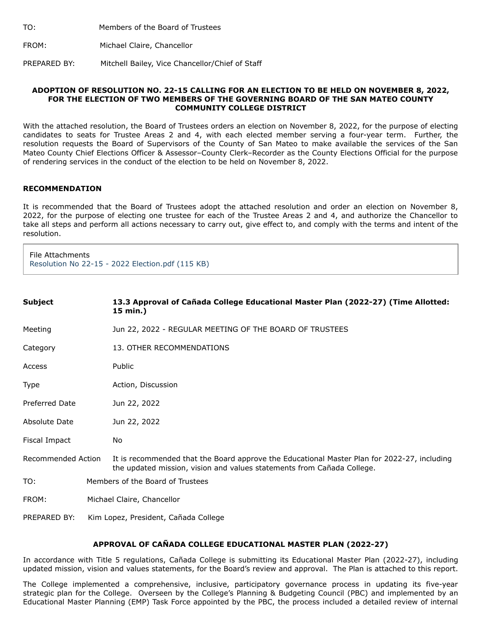| TO: | Members of the Board of Trustees |  |
|-----|----------------------------------|--|
|     |                                  |  |

FROM: Michael Claire, Chancellor

PREPARED BY: Mitchell Bailey, Vice Chancellor/Chief of Staff

#### **ADOPTION OF RESOLUTION NO. 22-15 CALLING FOR AN ELECTION TO BE HELD ON NOVEMBER 8, 2022, FOR THE ELECTION OF TWO MEMBERS OF THE GOVERNING BOARD OF THE SAN MATEO COUNTY COMMUNITY COLLEGE DISTRICT**

With the attached resolution, the Board of Trustees orders an election on November 8, 2022, for the purpose of electing candidates to seats for Trustee Areas 2 and 4, with each elected member serving a four-year term. Further, the resolution requests the Board of Supervisors of the County of San Mateo to make available the services of the San Mateo County Chief Elections Officer & Assessor–County Clerk–Recorder as the County Elections Official for the purpose of rendering services in the conduct of the election to be held on November 8, 2022.

#### **RECOMMENDATION**

It is recommended that the Board of Trustees adopt the attached resolution and order an election on November 8, 2022, for the purpose of electing one trustee for each of the Trustee Areas 2 and 4, and authorize the Chancellor to take all steps and perform all actions necessary to carry out, give effect to, and comply with the terms and intent of the resolution.

File Attachments [Resolution No 22-15 - 2022 Election.pdf \(115 KB\)](https://go.boarddocs.com/ca/smccd/Board.nsf/files/CFFR8D6CBD52/$file/Resolution%20No%2022-15%20-%202022%20Election.pdf)

| <b>Subject</b>        | 13.3 Approval of Cañada College Educational Master Plan (2022-27) (Time Allotted:<br>15 min.)                                                                         |  |
|-----------------------|-----------------------------------------------------------------------------------------------------------------------------------------------------------------------|--|
| Meeting               | Jun 22, 2022 - REGULAR MEETING OF THE BOARD OF TRUSTEES                                                                                                               |  |
| Category              | 13. OTHER RECOMMENDATIONS                                                                                                                                             |  |
| Access                | Public                                                                                                                                                                |  |
| Type                  | Action, Discussion                                                                                                                                                    |  |
| <b>Preferred Date</b> | Jun 22, 2022                                                                                                                                                          |  |
| Absolute Date         | Jun 22, 2022                                                                                                                                                          |  |
| Fiscal Impact         | No                                                                                                                                                                    |  |
| Recommended Action    | It is recommended that the Board approve the Educational Master Plan for 2022-27, including<br>the updated mission, vision and values statements from Cañada College. |  |
| TO:                   | Members of the Board of Trustees                                                                                                                                      |  |
| FROM:                 | Michael Claire, Chancellor                                                                                                                                            |  |
| PREPARED BY:          | Kim Lopez, President, Cañada College                                                                                                                                  |  |

## **APPROVAL OF CAÑADA COLLEGE EDUCATIONAL MASTER PLAN (2022-27)**

In accordance with Title 5 regulations, Cañada College is submitting its Educational Master Plan (2022-27), including updated mission, vision and values statements, for the Board's review and approval. The Plan is attached to this report.

The College implemented a comprehensive, inclusive, participatory governance process in updating its five-year strategic plan for the College. Overseen by the College's Planning & Budgeting Council (PBC) and implemented by an Educational Master Planning (EMP) Task Force appointed by the PBC, the process included a detailed review of internal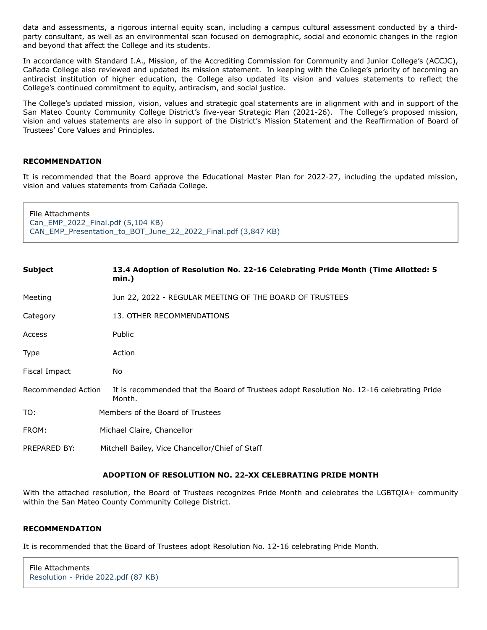data and assessments, a rigorous internal equity scan, including a campus cultural assessment conducted by a thirdparty consultant, as well as an environmental scan focused on demographic, social and economic changes in the region and beyond that affect the College and its students.

In accordance with Standard I.A., Mission, of the Accrediting Commission for Community and Junior College's (ACCJC), Cañada College also reviewed and updated its mission statement. In keeping with the College's priority of becoming an antiracist institution of higher education, the College also updated its vision and values statements to reflect the College's continued commitment to equity, antiracism, and social justice.

The College's updated mission, vision, values and strategic goal statements are in alignment with and in support of the San Mateo County Community College District's five-year Strategic Plan (2021-26). The College's proposed mission, vision and values statements are also in support of the District's Mission Statement and the Reaffirmation of Board of Trustees' Core Values and Principles.

## **RECOMMENDATION**

It is recommended that the Board approve the Educational Master Plan for 2022-27, including the updated mission, vision and values statements from Cañada College.

File Attachments [Can\\_EMP\\_2022\\_Final.pdf \(5,104 KB\)](https://go.boarddocs.com/ca/smccd/Board.nsf/files/CFCV2G7EA01A/$file/Can_EMP_2022_Final.pdf) [CAN\\_EMP\\_Presentation\\_to\\_BOT\\_June\\_22\\_2022\\_Final.pdf \(3,847 KB\)](https://go.boarddocs.com/ca/smccd/Board.nsf/files/CFCV2M7EA54B/$file/CAN_EMP_Presentation_to_BOT_June_22_2022_Final.pdf)

| <b>Subject</b>     | 13.4 Adoption of Resolution No. 22-16 Celebrating Pride Month (Time Allotted: 5<br>min.)            |  |
|--------------------|-----------------------------------------------------------------------------------------------------|--|
| Meeting            | Jun 22, 2022 - REGULAR MEETING OF THE BOARD OF TRUSTEES                                             |  |
| Category           | 13. OTHER RECOMMENDATIONS                                                                           |  |
| Access             | Public                                                                                              |  |
| Type               | Action                                                                                              |  |
| Fiscal Impact      | No                                                                                                  |  |
| Recommended Action | It is recommended that the Board of Trustees adopt Resolution No. 12-16 celebrating Pride<br>Month. |  |
| TO:                | Members of the Board of Trustees                                                                    |  |
| FROM:              | Michael Claire, Chancellor                                                                          |  |
| PREPARED BY:       | Mitchell Bailey, Vice Chancellor/Chief of Staff                                                     |  |

## **ADOPTION OF RESOLUTION NO. 22-XX CELEBRATING PRIDE MONTH**

With the attached resolution, the Board of Trustees recognizes Pride Month and celebrates the LGBTQIA+ community within the San Mateo County Community College District.

#### **RECOMMENDATION**

It is recommended that the Board of Trustees adopt Resolution No. 12-16 celebrating Pride Month.

```
File Attachments
Resolution - Pride 2022.pdf (87 KB)
```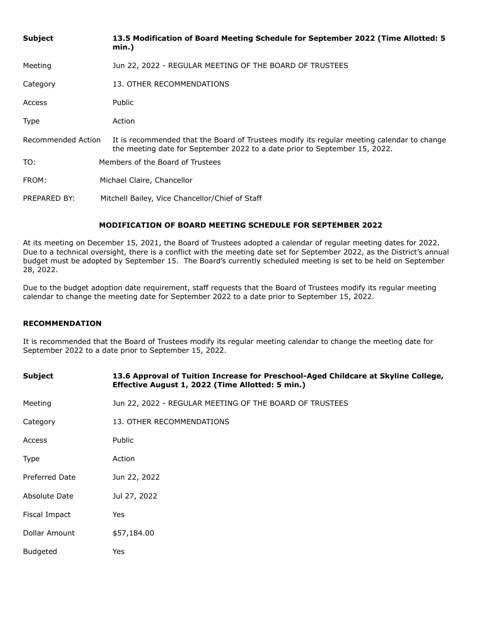| <b>Subject</b>     | 13.5 Modification of Board Meeting Schedule for September 2022 (Time Allotted: 5<br>min.)                                                                                |  |
|--------------------|--------------------------------------------------------------------------------------------------------------------------------------------------------------------------|--|
| Meeting            | Jun 22, 2022 - REGULAR MEETING OF THE BOARD OF TRUSTEES                                                                                                                  |  |
| Category           | 13. OTHER RECOMMENDATIONS                                                                                                                                                |  |
| Access             | Public                                                                                                                                                                   |  |
| Type               | Action                                                                                                                                                                   |  |
| Recommended Action | It is recommended that the Board of Trustees modify its regular meeting calendar to change<br>the meeting date for September 2022 to a date prior to September 15, 2022. |  |
| TO:                | Members of the Board of Trustees                                                                                                                                         |  |
| FROM:              | Michael Claire, Chancellor                                                                                                                                               |  |
| PREPARED BY:       | Mitchell Bailey, Vice Chancellor/Chief of Staff                                                                                                                          |  |

# **MODIFICATION OF BOARD MEETING SCHEDULE FOR SEPTEMBER 2022**

At its meeting on December 15, 2021, the Board of Trustees adopted a calendar of regular meeting dates for 2022. Due to a technical oversight, there is a conflict with the meeting date set for September 2022, as the District's annual budget must be adopted by September 15. The Board's currently scheduled meeting is set to be held on September 28, 2022.

Due to the budget adoption date requirement, staff requests that the Board of Trustees modify its regular meeting calendar to change the meeting date for September 2022 to a date prior to September 15, 2022.

## **RECOMMENDATION**

It is recommended that the Board of Trustees modify its regular meeting calendar to change the meeting date for September 2022 to a date prior to September 15, 2022.

| <b>Subject</b>        | 13.6 Approval of Tuition Increase for Preschool-Aged Childcare at Skyline College,<br>Effective August 1, 2022 (Time Allotted: 5 min.) |  |  |
|-----------------------|----------------------------------------------------------------------------------------------------------------------------------------|--|--|
| Meeting               | Jun 22, 2022 - REGULAR MEETING OF THE BOARD OF TRUSTEES                                                                                |  |  |
| Category              | 13. OTHER RECOMMENDATIONS                                                                                                              |  |  |
| Access                | Public                                                                                                                                 |  |  |
| Type                  | Action                                                                                                                                 |  |  |
| <b>Preferred Date</b> | Jun 22, 2022                                                                                                                           |  |  |
| Absolute Date         | Jul 27, 2022                                                                                                                           |  |  |
| Fiscal Impact         | Yes                                                                                                                                    |  |  |
| Dollar Amount         | \$57,184.00                                                                                                                            |  |  |
| <b>Budgeted</b>       | <b>Yes</b>                                                                                                                             |  |  |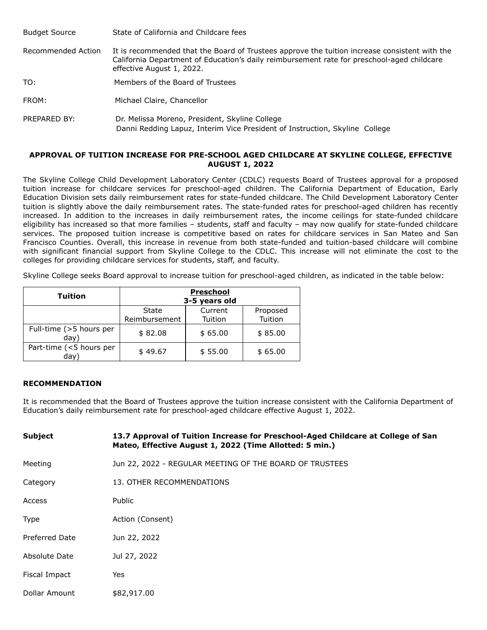| <b>Budget Source</b> | State of California and Childcare fees                                                                                                                                                                                   |
|----------------------|--------------------------------------------------------------------------------------------------------------------------------------------------------------------------------------------------------------------------|
| Recommended Action   | It is recommended that the Board of Trustees approve the tuition increase consistent with the<br>California Department of Education's daily reimbursement rate for preschool-aged childcare<br>effective August 1, 2022. |
| TO:                  | Members of the Board of Trustees                                                                                                                                                                                         |
| FROM:                | Michael Claire, Chancellor                                                                                                                                                                                               |
| PREPARED BY:         | Dr. Melissa Moreno, President, Skyline College<br>Danni Redding Lapuz, Interim Vice President of Instruction, Skyline College                                                                                            |

## **APPROVAL OF TUITION INCREASE FOR PRE-SCHOOL AGED CHILDCARE AT SKYLINE COLLEGE, EFFECTIVE AUGUST 1, 2022**

The Skyline College Child Development Laboratory Center (CDLC) requests Board of Trustees approval for a proposed tuition increase for childcare services for preschool-aged children. The California Department of Education, Early Education Division sets daily reimbursement rates for state-funded childcare. The Child Development Laboratory Center tuition is slightly above the daily reimbursement rates. The state-funded rates for preschool-aged children has recently increased. In addition to the increases in daily reimbursement rates, the income ceilings for state-funded childcare eligibility has increased so that more families – students, staff and faculty – may now qualify for state-funded childcare services. The proposed tuition increase is competitive based on rates for childcare services in San Mateo and San Francisco Counties. Overall, this increase in revenue from both state-funded and tuition-based childcare will combine with significant financial support from Skyline College to the CDLC. This increase will not eliminate the cost to the colleges for providing childcare services for students, staff, and faculty.

Skyline College seeks Board approval to increase tuition for preschool-aged children, as indicated in the table below:

| <b>Tuition</b>                  |               | Preschool<br>3-5 years old |          |
|---------------------------------|---------------|----------------------------|----------|
|                                 | State         | Current                    | Proposed |
|                                 | Reimbursement | Tuition                    | Tuition  |
| Full-time (>5 hours per<br>day) | \$82.08       | \$65.00                    | \$85.00  |
| Part-time (<5 hours per<br>day) | \$49.67       | \$55.00                    | \$65.00  |

## **RECOMMENDATION**

It is recommended that the Board of Trustees approve the tuition increase consistent with the California Department of Education's daily reimbursement rate for preschool-aged childcare effective August 1, 2022.

| <b>Subject</b> | 13.7 Approval of Tuition Increase for Preschool-Aged Childcare at College of San<br>Mateo, Effective August 1, 2022 (Time Allotted: 5 min.) |  |  |
|----------------|---------------------------------------------------------------------------------------------------------------------------------------------|--|--|
| Meeting        | Jun 22, 2022 - REGULAR MEETING OF THE BOARD OF TRUSTEES                                                                                     |  |  |
| Category       | 13. OTHER RECOMMENDATIONS                                                                                                                   |  |  |
| Access         | Public                                                                                                                                      |  |  |
| <b>Type</b>    | Action (Consent)                                                                                                                            |  |  |
| Preferred Date | Jun 22, 2022                                                                                                                                |  |  |
| Absolute Date  | Jul 27, 2022                                                                                                                                |  |  |
| Fiscal Impact  | Yes                                                                                                                                         |  |  |
| Dollar Amount  | \$82,917.00                                                                                                                                 |  |  |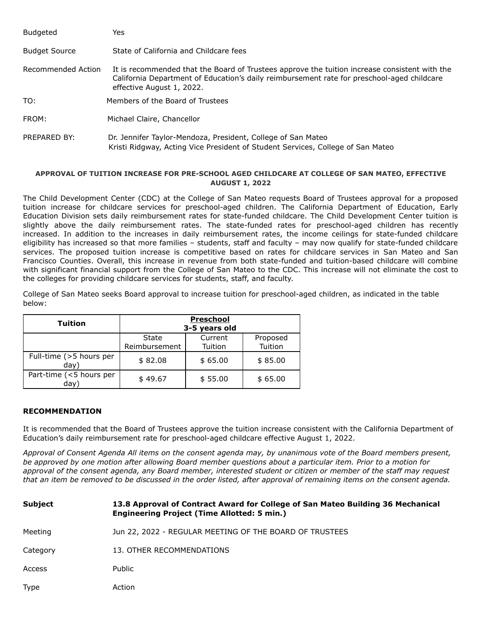| <b>Budgeted</b>      | Yes                                                                                                                                                                                                                      |
|----------------------|--------------------------------------------------------------------------------------------------------------------------------------------------------------------------------------------------------------------------|
| <b>Budget Source</b> | State of California and Childcare fees                                                                                                                                                                                   |
| Recommended Action   | It is recommended that the Board of Trustees approve the tuition increase consistent with the<br>California Department of Education's daily reimbursement rate for preschool-aged childcare<br>effective August 1, 2022. |
| TO:                  | Members of the Board of Trustees                                                                                                                                                                                         |
| FROM:                | Michael Claire, Chancellor                                                                                                                                                                                               |
| PREPARED BY:         | Dr. Jennifer Taylor-Mendoza, President, College of San Mateo<br>Kristi Ridgway, Acting Vice President of Student Services, College of San Mateo                                                                          |

#### **APPROVAL OF TUITION INCREASE FOR PRE-SCHOOL AGED CHILDCARE AT COLLEGE OF SAN MATEO, EFFECTIVE AUGUST 1, 2022**

The Child Development Center (CDC) at the College of San Mateo requests Board of Trustees approval for a proposed tuition increase for childcare services for preschool-aged children. The California Department of Education, Early Education Division sets daily reimbursement rates for state-funded childcare. The Child Development Center tuition is slightly above the daily reimbursement rates. The state-funded rates for preschool-aged children has recently increased. In addition to the increases in daily reimbursement rates, the income ceilings for state-funded childcare eligibility has increased so that more families – students, staff and faculty – may now qualify for state-funded childcare services. The proposed tuition increase is competitive based on rates for childcare services in San Mateo and San Francisco Counties. Overall, this increase in revenue from both state-funded and tuition-based childcare will combine with significant financial support from the College of San Mateo to the CDC. This increase will not eliminate the cost to the colleges for providing childcare services for students, staff, and faculty.

College of San Mateo seeks Board approval to increase tuition for preschool-aged children, as indicated in the table below:

| <b>Tuition</b>                  |                        | <b>Preschool</b><br>3-5 years old |                     |
|---------------------------------|------------------------|-----------------------------------|---------------------|
|                                 | State<br>Reimbursement | Current<br>Tuition                | Proposed<br>Tuition |
| Full-time (>5 hours per<br>day) | \$82.08                | \$65.00                           | \$85.00             |
| Part-time (<5 hours per<br>(dav | \$49.67                | \$55.00                           | \$65.00             |

## **RECOMMENDATION**

It is recommended that the Board of Trustees approve the tuition increase consistent with the California Department of Education's daily reimbursement rate for preschool-aged childcare effective August 1, 2022.

*Approval of Consent Agenda All items on the consent agenda may, by unanimous vote of the Board members present, be approved by one motion after allowing Board member questions about a particular item. Prior to a motion for approval of the consent agenda, any Board member, interested student or citizen or member of the staff may request that an item be removed to be discussed in the order listed, after approval of remaining items on the consent agenda.*

**Subject 13.8 Approval of Contract Award for College of San Mateo Building 36 Mechanical Engineering Project (Time Allotted: 5 min.)** Meeting Jun 22, 2022 - REGULAR MEETING OF THE BOARD OF TRUSTEES Category 13. OTHER RECOMMENDATIONS Access Public Type Action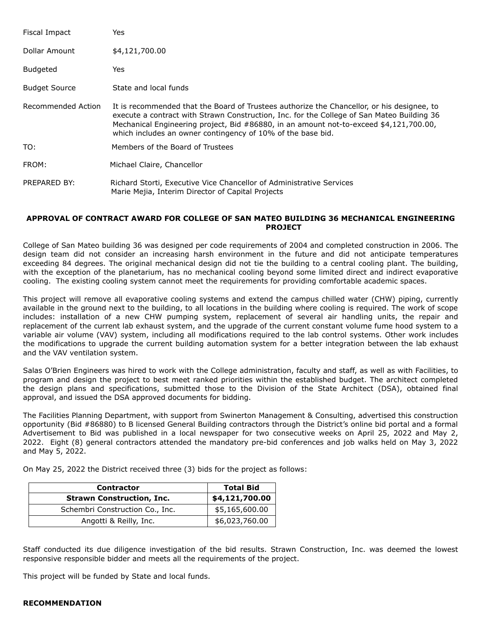| Fiscal Impact        | Yes                                                                                                                                                                                                                                                                                                                                               |
|----------------------|---------------------------------------------------------------------------------------------------------------------------------------------------------------------------------------------------------------------------------------------------------------------------------------------------------------------------------------------------|
| Dollar Amount        | \$4,121,700.00                                                                                                                                                                                                                                                                                                                                    |
| <b>Budgeted</b>      | Yes                                                                                                                                                                                                                                                                                                                                               |
| <b>Budget Source</b> | State and local funds                                                                                                                                                                                                                                                                                                                             |
| Recommended Action   | It is recommended that the Board of Trustees authorize the Chancellor, or his designee, to<br>execute a contract with Strawn Construction, Inc. for the College of San Mateo Building 36<br>Mechanical Engineering project, Bid #86880, in an amount not-to-exceed \$4,121,700.00,<br>which includes an owner contingency of 10% of the base bid. |
| TO:                  | Members of the Board of Trustees                                                                                                                                                                                                                                                                                                                  |
| FROM:                | Michael Claire, Chancellor                                                                                                                                                                                                                                                                                                                        |
| PREPARED BY:         | Richard Storti, Executive Vice Chancellor of Administrative Services<br>Marie Mejia, Interim Director of Capital Projects                                                                                                                                                                                                                         |

#### **APPROVAL OF CONTRACT AWARD FOR COLLEGE OF SAN MATEO BUILDING 36 MECHANICAL ENGINEERING PROJECT**

College of San Mateo building 36 was designed per code requirements of 2004 and completed construction in 2006. The design team did not consider an increasing harsh environment in the future and did not anticipate temperatures exceeding 84 degrees. The original mechanical design did not tie the building to a central cooling plant. The building, with the exception of the planetarium, has no mechanical cooling beyond some limited direct and indirect evaporative cooling. The existing cooling system cannot meet the requirements for providing comfortable academic spaces.

This project will remove all evaporative cooling systems and extend the campus chilled water (CHW) piping, currently available in the ground next to the building, to all locations in the building where cooling is required. The work of scope includes: installation of a new CHW pumping system, replacement of several air handling units, the repair and replacement of the current lab exhaust system, and the upgrade of the current constant volume fume hood system to a variable air volume (VAV) system, including all modifications required to the lab control systems. Other work includes the modifications to upgrade the current building automation system for a better integration between the lab exhaust and the VAV ventilation system.

Salas O'Brien Engineers was hired to work with the College administration, faculty and staff, as well as with Facilities, to program and design the project to best meet ranked priorities within the established budget. The architect completed the design plans and specifications, submitted those to the Division of the State Architect (DSA), obtained final approval, and issued the DSA approved documents for bidding.

The Facilities Planning Department, with support from Swinerton Management & Consulting, advertised this construction opportunity (Bid #86880) to B licensed General Building contractors through the District's online bid portal and a formal Advertisement to Bid was published in a local newspaper for two consecutive weeks on April 25, 2022 and May 2, 2022. Eight (8) general contractors attended the mandatory pre-bid conferences and job walks held on May 3, 2022 and May 5, 2022.

On May 25, 2022 the District received three (3) bids for the project as follows:

| <b>Contractor</b>                | <b>Total Bid</b> |
|----------------------------------|------------------|
| <b>Strawn Construction, Inc.</b> | \$4,121,700.00   |
| Schembri Construction Co., Inc.  | \$5,165,600.00   |
| Angotti & Reilly, Inc.           | \$6,023,760.00   |

Staff conducted its due diligence investigation of the bid results. Strawn Construction, Inc. was deemed the lowest responsive responsible bidder and meets all the requirements of the project.

This project will be funded by State and local funds.

## **RECOMMENDATION**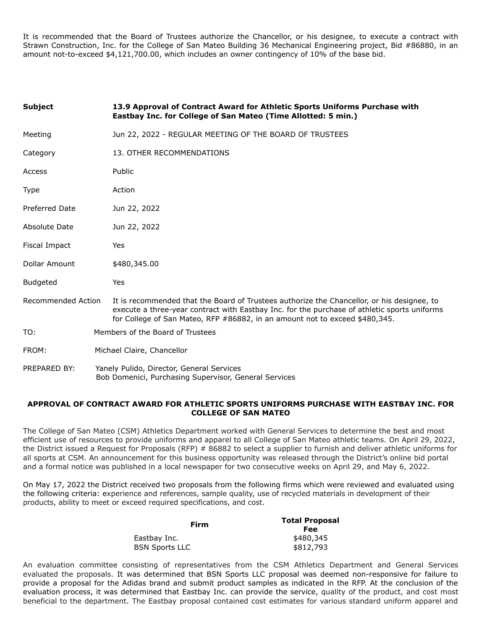It is recommended that the Board of Trustees authorize the Chancellor, or his designee, to execute a contract with Strawn Construction, Inc. for the College of San Mateo Building 36 Mechanical Engineering project, Bid #86880, in an amount not-to-exceed \$4,121,700.00, which includes an owner contingency of 10% of the base bid.

| <b>Subject</b>     | 13.9 Approval of Contract Award for Athletic Sports Uniforms Purchase with<br>Eastbay Inc. for College of San Mateo (Time Allotted: 5 min.)                                                                                                                               |  |
|--------------------|---------------------------------------------------------------------------------------------------------------------------------------------------------------------------------------------------------------------------------------------------------------------------|--|
| Meeting            | Jun 22, 2022 - REGULAR MEETING OF THE BOARD OF TRUSTEES                                                                                                                                                                                                                   |  |
| Category           | 13. OTHER RECOMMENDATIONS                                                                                                                                                                                                                                                 |  |
| Access             | Public                                                                                                                                                                                                                                                                    |  |
| Type               | Action                                                                                                                                                                                                                                                                    |  |
| Preferred Date     | Jun 22, 2022                                                                                                                                                                                                                                                              |  |
| Absolute Date      | Jun 22, 2022                                                                                                                                                                                                                                                              |  |
| Fiscal Impact      | Yes                                                                                                                                                                                                                                                                       |  |
| Dollar Amount      | \$480,345.00                                                                                                                                                                                                                                                              |  |
| <b>Budgeted</b>    | Yes                                                                                                                                                                                                                                                                       |  |
| Recommended Action | It is recommended that the Board of Trustees authorize the Chancellor, or his designee, to<br>execute a three-year contract with Eastbay Inc. for the purchase of athletic sports uniforms<br>for College of San Mateo, RFP #86882, in an amount not to exceed \$480,345. |  |
| TO:                | Members of the Board of Trustees                                                                                                                                                                                                                                          |  |
| FROM:              | Michael Claire, Chancellor                                                                                                                                                                                                                                                |  |
| PREPARED BY:       | Yanely Pulido, Director, General Services<br>Bob Domenici, Purchasing Supervisor, General Services                                                                                                                                                                        |  |

#### **APPROVAL OF CONTRACT AWARD FOR ATHLETIC SPORTS UNIFORMS PURCHASE WITH EASTBAY INC. FOR COLLEGE OF SAN MATEO**

The College of San Mateo (CSM) Athletics Department worked with General Services to determine the best and most efficient use of resources to provide uniforms and apparel to all College of San Mateo athletic teams. On April 29, 2022, the District issued a Request for Proposals (RFP) # 86882 to select a supplier to furnish and deliver athletic uniforms for all sports at CSM. An announcement for this business opportunity was released through the District's online bid portal and a formal notice was published in a local newspaper for two consecutive weeks on April 29, and May 6, 2022.

On May 17, 2022 the District received two proposals from the following firms which were reviewed and evaluated using the following criteria: experience and references, sample quality, use of recycled materials in development of their products, ability to meet or exceed required specifications, and cost.

| Firm                  | <b>Total Proposal</b><br>Fee |
|-----------------------|------------------------------|
| Eastbay Inc.          | \$480,345                    |
| <b>BSN Sports LLC</b> | \$812,793                    |

An evaluation committee consisting of representatives from the CSM Athletics Department and General Services evaluated the proposals. It was determined that BSN Sports LLC proposal was deemed non-responsive for failure to provide a proposal for the Adidas brand and submit product samples as indicated in the RFP. At the conclusion of the evaluation process, it was determined that Eastbay Inc. can provide the service, quality of the product, and cost most beneficial to the department. The Eastbay proposal contained cost estimates for various standard uniform apparel and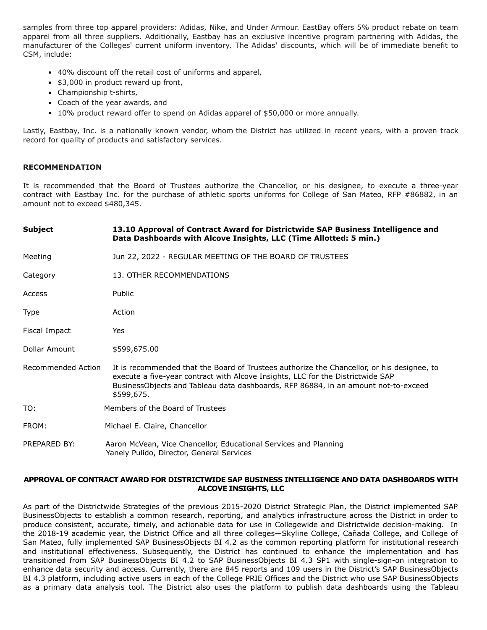samples from three top apparel providers: Adidas, Nike, and Under Armour. EastBay offers 5% product rebate on team apparel from all three suppliers. Additionally, Eastbay has an exclusive incentive program partnering with Adidas, the manufacturer of the Colleges' current uniform inventory. The Adidas' discounts, which will be of immediate benefit to CSM, include:

- 40% discount off the retail cost of uniforms and apparel,
- \$3,000 in product reward up front,
- Championship t-shirts,
- Coach of the year awards, and
- 10% product reward offer to spend on Adidas apparel of \$50,000 or more annually.

Lastly, Eastbay, Inc. is a nationally known vendor, whom the District has utilized in recent years, with a proven track record for quality of products and satisfactory services.

#### **RECOMMENDATION**

It is recommended that the Board of Trustees authorize the Chancellor, or his designee, to execute a three-year contract with Eastbay Inc. for the purchase of athletic sports uniforms for College of San Mateo, RFP #86882, in an amount not to exceed \$480,345.

| <b>Subject</b>     | 13.10 Approval of Contract Award for Districtwide SAP Business Intelligence and<br>Data Dashboards with Alcove Insights, LLC (Time Allotted: 5 min.)                                                                                                                              |
|--------------------|-----------------------------------------------------------------------------------------------------------------------------------------------------------------------------------------------------------------------------------------------------------------------------------|
| Meeting            | Jun 22, 2022 - REGULAR MEETING OF THE BOARD OF TRUSTEES                                                                                                                                                                                                                           |
| Category           | 13. OTHER RECOMMENDATIONS                                                                                                                                                                                                                                                         |
| Access             | Public                                                                                                                                                                                                                                                                            |
| Type               | Action                                                                                                                                                                                                                                                                            |
| Fiscal Impact      | Yes                                                                                                                                                                                                                                                                               |
| Dollar Amount      | \$599,675.00                                                                                                                                                                                                                                                                      |
| Recommended Action | It is recommended that the Board of Trustees authorize the Chancellor, or his designee, to<br>execute a five-year contract with Alcove Insights, LLC for the Districtwide SAP<br>BusinessObjects and Tableau data dashboards, RFP 86884, in an amount not-to-exceed<br>\$599,675. |
| TO:                | Members of the Board of Trustees                                                                                                                                                                                                                                                  |
| FROM:              | Michael E. Claire, Chancellor                                                                                                                                                                                                                                                     |
| PREPARED BY:       | Aaron McVean, Vice Chancellor, Educational Services and Planning<br>Yanely Pulido, Director, General Services                                                                                                                                                                     |

#### **APPROVAL OF CONTRACT AWARD FOR DISTRICTWIDE SAP BUSINESS INTELLIGENCE AND DATA DASHBOARDS WITH ALCOVE INSIGHTS, LLC**

As part of the Districtwide Strategies of the previous 2015-2020 District Strategic Plan, the District implemented SAP BusinessObjects to establish a common research, reporting, and analytics infrastructure across the District in order to produce consistent, accurate, timely, and actionable data for use in Collegewide and Districtwide decision-making. In the 2018-19 academic year, the District Office and all three colleges—Skyline College, Cañada College, and College of San Mateo, fully implemented SAP BusinessObjects BI 4.2 as the common reporting platform for institutional research and institutional effectiveness. Subsequently, the District has continued to enhance the implementation and has transitioned from SAP BusinessObjects BI 4.2 to SAP BusinessObjects BI 4.3 SP1 with single-sign-on integration to enhance data security and access. Currently, there are 845 reports and 109 users in the District's SAP BusinessObjects BI 4.3 platform, including active users in each of the College PRIE Offices and the District who use SAP BusinessObjects as a primary data analysis tool. The District also uses the platform to publish data dashboards using the Tableau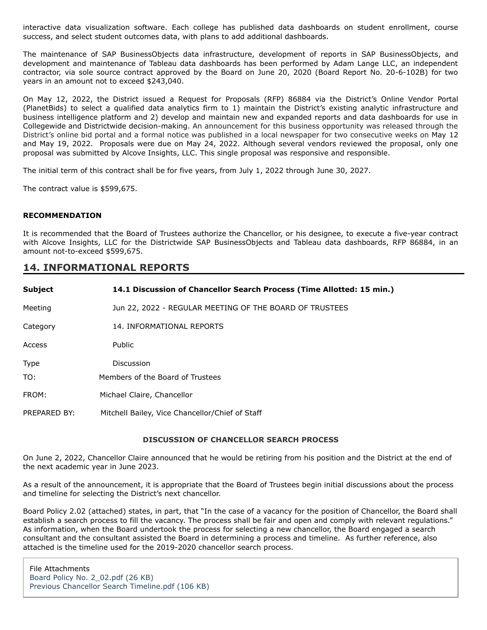interactive data visualization software. Each college has published data dashboards on student enrollment, course success, and select student outcomes data, with plans to add additional dashboards.

The maintenance of SAP BusinessObjects data infrastructure, development of reports in SAP BusinessObjects, and development and maintenance of Tableau data dashboards has been performed by Adam Lange LLC, an independent contractor, via sole source contract approved by the Board on June 20, 2020 (Board Report No. 20-6-102B) for two years in an amount not to exceed \$243,040.

On May 12, 2022, the District issued a Request for Proposals (RFP) 86884 via the District's Online Vendor Portal (PlanetBids) to select a qualified data analytics firm to 1) maintain the District's existing analytic infrastructure and business intelligence platform and 2) develop and maintain new and expanded reports and data dashboards for use in Collegewide and Districtwide decision-making. An announcement for this business opportunity was released through the District's online bid portal and a formal notice was published in a local newspaper for two consecutive weeks on May 12 and May 19, 2022. Proposals were due on May 24, 2022. Although several vendors reviewed the proposal, only one proposal was submitted by Alcove Insights, LLC. This single proposal was responsive and responsible.

The initial term of this contract shall be for five years, from July 1, 2022 through June 30, 2027.

The contract value is \$599,675.

#### **RECOMMENDATION**

It is recommended that the Board of Trustees authorize the Chancellor, or his designee, to execute a five-year contract with Alcove Insights, LLC for the Districtwide SAP BusinessObjects and Tableau data dashboards, RFP 86884, in an amount not-to-exceed \$599,675.

# **14. INFORMATIONAL REPORTS**

| <b>Subject</b> | 14.1 Discussion of Chancellor Search Process (Time Allotted: 15 min.) |
|----------------|-----------------------------------------------------------------------|
| Meeting        | Jun 22, 2022 - REGULAR MEETING OF THE BOARD OF TRUSTEES               |
| Category       | 14. INFORMATIONAL REPORTS                                             |
| Access         | Public                                                                |
| <b>Type</b>    | Discussion                                                            |
| TO:            | Members of the Board of Trustees                                      |
| FROM:          | Michael Claire, Chancellor                                            |
| PREPARED BY:   | Mitchell Bailey, Vice Chancellor/Chief of Staff                       |

## **DISCUSSION OF CHANCELLOR SEARCH PROCESS**

On June 2, 2022, Chancellor Claire announced that he would be retiring from his position and the District at the end of the next academic year in June 2023.

As a result of the announcement, it is appropriate that the Board of Trustees begin initial discussions about the process and timeline for selecting the District's next chancellor.

Board Policy 2.02 (attached) states, in part, that "In the case of a vacancy for the position of Chancellor, the Board shall establish a search process to fill the vacancy. The process shall be fair and open and comply with relevant regulations." As information, when the Board undertook the process for selecting a new chancellor, the Board engaged a search consultant and the consultant assisted the Board in determining a process and timeline. As further reference, also attached is the timeline used for the 2019-2020 chancellor search process.

File Attachments [Board Policy No. 2\\_02.pdf \(26 KB\)](https://go.boarddocs.com/ca/smccd/Board.nsf/files/CFFTLQ77EA70/$file/Board%20Policy%20No.%202_02.pdf) [Previous Chancellor Search Timeline.pdf \(106 KB\)](https://go.boarddocs.com/ca/smccd/Board.nsf/files/CFFTLU77EC6B/$file/Previous%20Chancellor%20Search%20Timeline.pdf)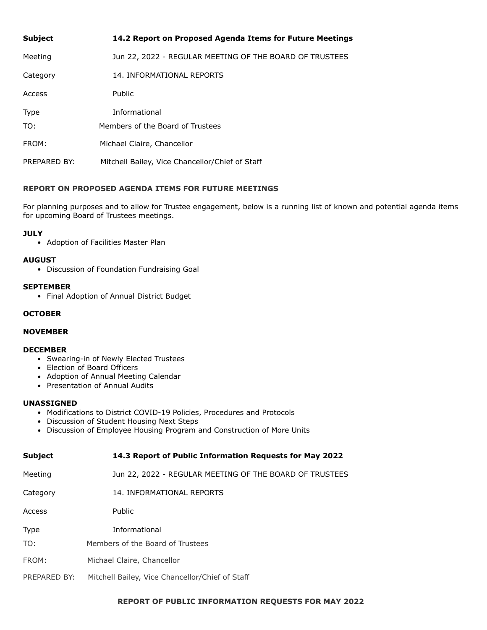| <b>Subject</b> | 14.2 Report on Proposed Agenda Items for Future Meetings |
|----------------|----------------------------------------------------------|
| Meeting        | Jun 22, 2022 - REGULAR MEETING OF THE BOARD OF TRUSTEES  |
| Category       | 14. INFORMATIONAL REPORTS                                |
| Access         | Public                                                   |
| <b>Type</b>    | <b>Informational</b>                                     |
| TO:            | Members of the Board of Trustees                         |
| FROM:          | Michael Claire, Chancellor                               |
| PREPARED BY:   | Mitchell Bailey, Vice Chancellor/Chief of Staff          |

# **REPORT ON PROPOSED AGENDA ITEMS FOR FUTURE MEETINGS**

For planning purposes and to allow for Trustee engagement, below is a running list of known and potential agenda items for upcoming Board of Trustees meetings.

# **JULY**

• Adoption of Facilities Master Plan

## **AUGUST**

Discussion of Foundation Fundraising Goal

## **SEPTEMBER**

Final Adoption of Annual District Budget

#### **OCTOBER**

## **NOVEMBER**

#### **DECEMBER**

- Swearing-in of Newly Elected Trustees
- Election of Board Officers
- Adoption of Annual Meeting Calendar
- Presentation of Annual Audits

#### **UNASSIGNED**

- Modifications to District COVID-19 Policies, Procedures and Protocols
- Discussion of Student Housing Next Steps
- Discussion of Employee Housing Program and Construction of More Units

| <b>Subject</b> | 14.3 Report of Public Information Requests for May 2022 |
|----------------|---------------------------------------------------------|
| Meeting        | Jun 22, 2022 - REGULAR MEETING OF THE BOARD OF TRUSTEES |
| Category       | 14. INFORMATIONAL REPORTS                               |
| Access         | Public                                                  |
| <b>Type</b>    | Informational                                           |
| TO:            | Members of the Board of Trustees                        |
| FROM:          | Michael Claire, Chancellor                              |
| PREPARED BY:   | Mitchell Bailey, Vice Chancellor/Chief of Staff         |

# **REPORT OF PUBLIC INFORMATION REQUESTS FOR MAY 2022**